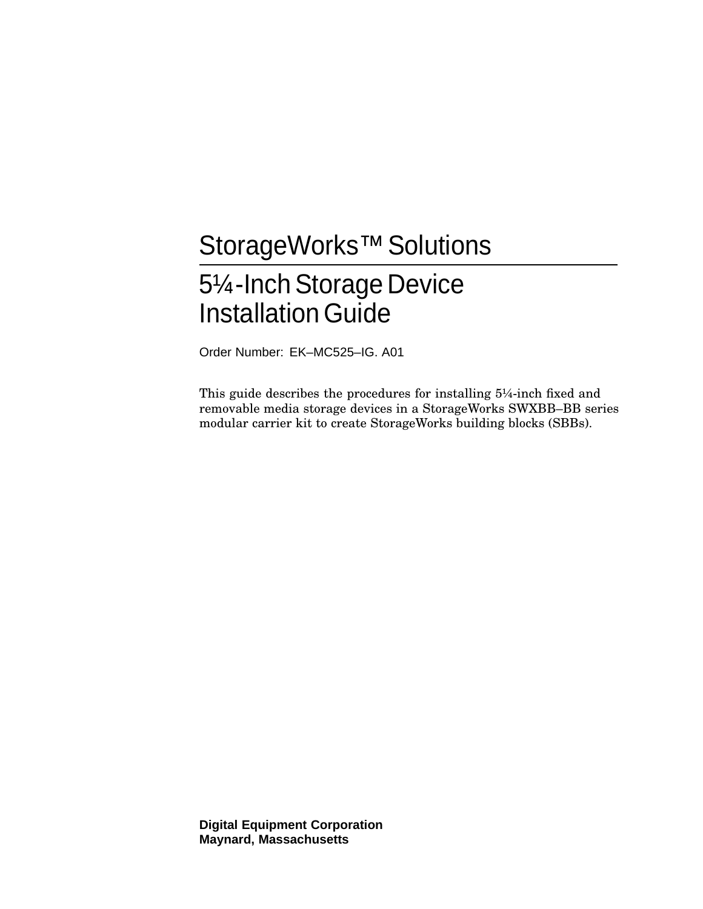# StorageWorks™ Solutions 51⁄4-Inch Storage Device **Installation Guide**

Order Number: EK–MC525–IG. A01

This guide describes the procedures for installing 5¼-inch fixed and removable media storage devices in a StorageWorks SWXBB–BB series modular carrier kit to create StorageWorks building blocks (SBBs).

**Digital Equipment Corporation Maynard, Massachusetts**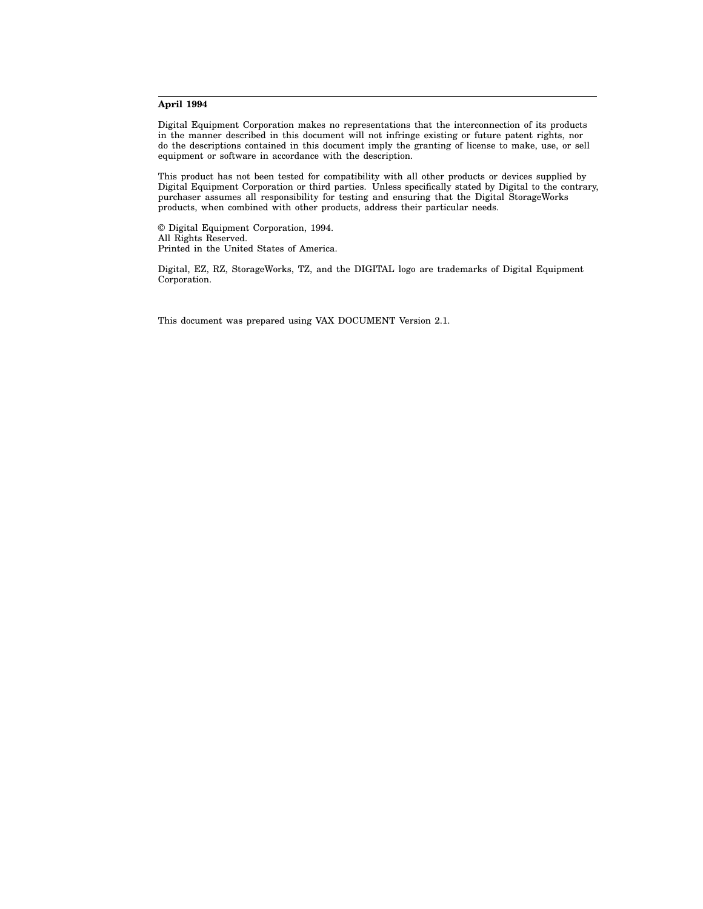#### **April 1994**

Digital Equipment Corporation makes no representations that the interconnection of its products in the manner described in this document will not infringe existing or future patent rights, nor do the descriptions contained in this document imply the granting of license to make, use, or sell equipment or software in accordance with the description.

This product has not been tested for compatibility with all other products or devices supplied by Digital Equipment Corporation or third parties. Unless specifically stated by Digital to the contrary, purchaser assumes all responsibility for testing and ensuring that the Digital StorageWorks products, when combined with other products, address their particular needs.

© Digital Equipment Corporation, 1994. All Rights Reserved. Printed in the United States of America.

Digital, EZ, RZ, StorageWorks, TZ, and the DIGITAL logo are trademarks of Digital Equipment Corporation.

This document was prepared using VAX DOCUMENT Version 2.1.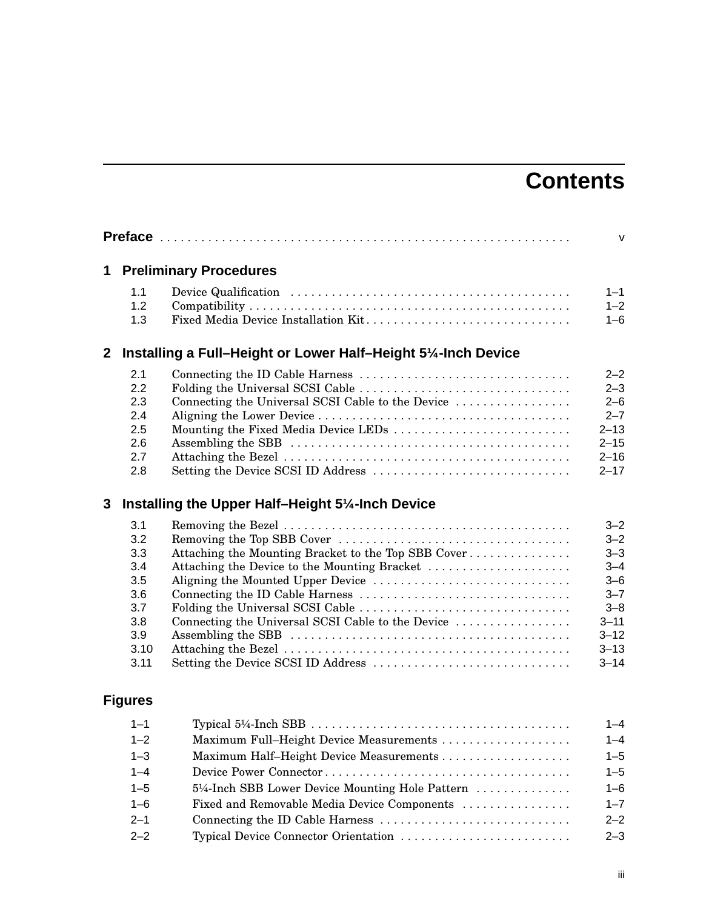## **Contents**

|              |                                                                             |                                                                                                                                                                                                                                                                         | $\mathsf{V}$                                                                                                              |
|--------------|-----------------------------------------------------------------------------|-------------------------------------------------------------------------------------------------------------------------------------------------------------------------------------------------------------------------------------------------------------------------|---------------------------------------------------------------------------------------------------------------------------|
| 1            |                                                                             | <b>Preliminary Procedures</b>                                                                                                                                                                                                                                           |                                                                                                                           |
|              | 1.1<br>1.2<br>1.3                                                           | Fixed Media Device Installation Kit                                                                                                                                                                                                                                     | $1 - 1$<br>$1 - 2$<br>$1 - 6$                                                                                             |
| $\mathbf{2}$ |                                                                             | Installing a Full-Height or Lower Half-Height 51/4-Inch Device                                                                                                                                                                                                          |                                                                                                                           |
|              | 2.1<br>2.2<br>2.3<br>2.4<br>2.5<br>2.6<br>2.7<br>2.8                        | Folding the Universal SCSI Cable<br>Connecting the Universal SCSI Cable to the Device<br>Mounting the Fixed Media Device LEDs<br>Setting the Device SCSI ID Address                                                                                                     | $2 - 2$<br>$2 - 3$<br>$2 - 6$<br>$2 - 7$<br>$2 - 13$<br>$2 - 15$<br>$2 - 16$<br>$2 - 17$                                  |
| 3            |                                                                             | Installing the Upper Half-Height 51/4-Inch Device                                                                                                                                                                                                                       |                                                                                                                           |
|              | 3.1<br>3.2<br>3.3<br>3.4<br>3.5<br>3.6<br>3.7<br>3.8<br>3.9<br>3.10<br>3.11 | Attaching the Mounting Bracket to the Top SBB Cover<br>Attaching the Device to the Mounting Bracket<br>Aligning the Mounted Upper Device<br>Folding the Universal SCSI Cable<br>Connecting the Universal SCSI Cable to the Device<br>Setting the Device SCSI ID Address | $3 - 2$<br>$3 - 2$<br>$3 - 3$<br>$3 - 4$<br>$3 - 6$<br>$3 - 7$<br>$3 - 8$<br>$3 - 11$<br>$3 - 12$<br>$3 - 13$<br>$3 - 14$ |
|              | <b>Figures</b>                                                              |                                                                                                                                                                                                                                                                         |                                                                                                                           |
|              | $1 - 1$<br>$1 - 2$<br>$1 - 3$                                               | Maximum Full-Height Device Measurements                                                                                                                                                                                                                                 | $1 - 4$<br>$1 - 4$<br>$1 - 5$                                                                                             |

| - ت     |                                                | $-1$    |
|---------|------------------------------------------------|---------|
| $1 - 4$ |                                                | $1 - 5$ |
| $1 - 5$ | 5¼-Inch SBB Lower Device Mounting Hole Pattern | $1 - 6$ |
| $1 - 6$ | Fixed and Removable Media Device Components    | $1 - 7$ |
| $2 - 1$ |                                                | $2 - 2$ |
| $2 - 2$ |                                                | $2 - 3$ |
|         |                                                |         |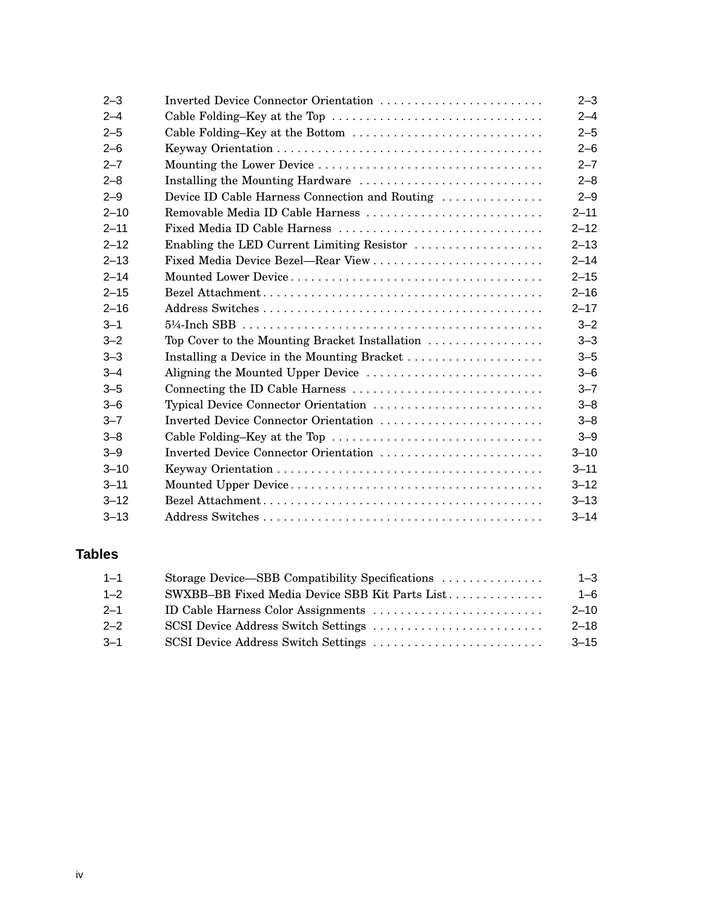| $2 - 3$  | Inverted Device Connector Orientation                                        | $2 - 3$  |
|----------|------------------------------------------------------------------------------|----------|
| $2 - 4$  | Cable Folding-Key at the Top                                                 | $2 - 4$  |
| $2 - 5$  | Cable Folding-Key at the Bottom                                              | $2 - 5$  |
| $2 - 6$  |                                                                              | $2 - 6$  |
| $2 - 7$  |                                                                              | $2 - 7$  |
| $2 - 8$  | Installing the Mounting Hardware                                             | $2 - 8$  |
| $2 - 9$  | Device ID Cable Harness Connection and Routing                               | $2 - 9$  |
| $2 - 10$ | Removable Media ID Cable Harness                                             | $2 - 11$ |
| $2 - 11$ | Fixed Media ID Cable Harness                                                 | $2 - 12$ |
| $2 - 12$ | Enabling the LED Current Limiting Resistor                                   | $2 - 13$ |
| $2 - 13$ | Fixed Media Device Bezel—Rear View                                           | $2 - 14$ |
| $2 - 14$ |                                                                              | $2 - 15$ |
| $2 - 15$ |                                                                              | $2 - 16$ |
| $2 - 16$ |                                                                              | $2 - 17$ |
| $3 - 1$  |                                                                              | $3 - 2$  |
| $3 - 2$  | Top Cover to the Mounting Bracket Installation $\ldots \ldots \ldots \ldots$ | $3 - 3$  |
| $3 - 3$  | Installing a Device in the Mounting Bracket                                  | $3 - 5$  |
| $3 - 4$  | Aligning the Mounted Upper Device                                            | $3 - 6$  |
| $3 - 5$  |                                                                              | $3 - 7$  |
| $3 - 6$  | Typical Device Connector Orientation                                         | $3 - 8$  |
| $3 - 7$  | Inverted Device Connector Orientation                                        | $3 - 8$  |
| $3 - 8$  | Cable Folding–Key at the Top                                                 | $3 - 9$  |
| $3 - 9$  | Inverted Device Connector Orientation                                        | $3 - 10$ |
| $3 - 10$ |                                                                              | $3 - 11$ |
| $3 - 11$ |                                                                              | $3 - 12$ |
| $3 - 12$ |                                                                              | $3 - 13$ |
| $3 - 13$ |                                                                              | $3 - 14$ |

### **Tables**

| $1 - 1$ | Storage Device—SBB Compatibility Specifications | $1 - 3$  |
|---------|-------------------------------------------------|----------|
| $1 - 2$ | SWXBB-BB Fixed Media Device SBB Kit Parts List  | $1 - 6$  |
| $2 - 1$ |                                                 | $2 - 10$ |
| $2 - 2$ |                                                 | $2 - 18$ |
| $-3-1$  |                                                 | $3 - 15$ |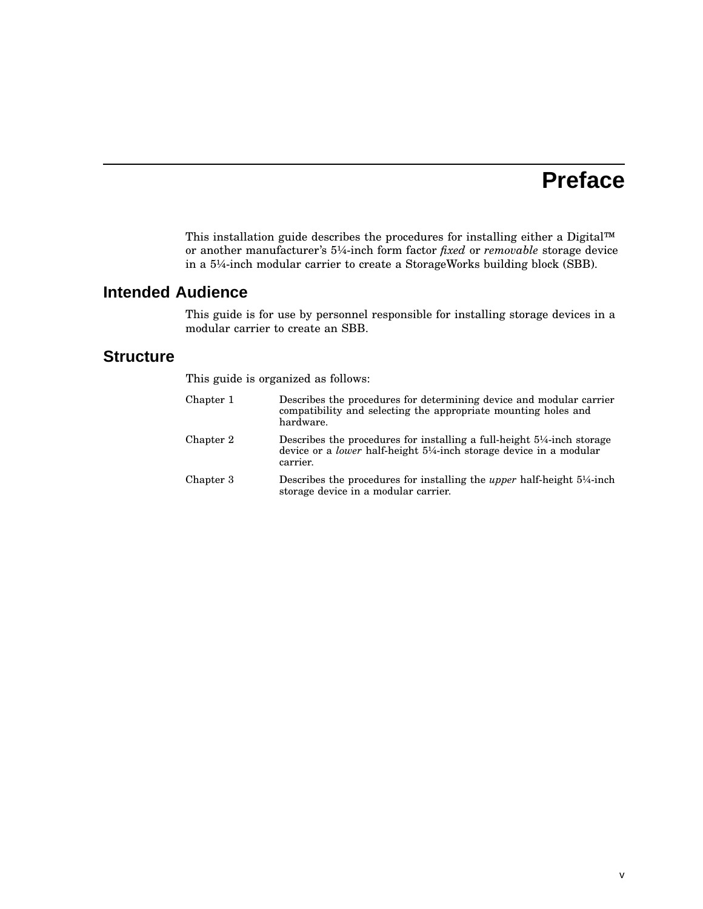## **Preface**

This installation guide describes the procedures for installing either a Digital™ or another manufacturer's 5¼-inch form factor *fixed* or *removable* storage device in a 5¼-inch modular carrier to create a StorageWorks building block (SBB).

## **Intended Audience**

This guide is for use by personnel responsible for installing storage devices in a modular carrier to create an SBB.

#### **Structure**

This guide is organized as follows:

| Chapter 1 | Describes the procedures for determining device and modular carrier<br>compatibility and selecting the appropriate mounting holes and<br>hardware.                                      |
|-----------|-----------------------------------------------------------------------------------------------------------------------------------------------------------------------------------------|
| Chapter 2 | Describes the procedures for installing a full-height $5\frac{1}{4}$ -inch storage<br>device or a <i>lower</i> half-height $5\frac{1}{4}$ -inch storage device in a modular<br>carrier. |
| Chapter 3 | Describes the procedures for installing the <i>upper</i> half-height 5 <sup>1</sup> / <sub>4</sub> -inch<br>storage device in a modular carrier.                                        |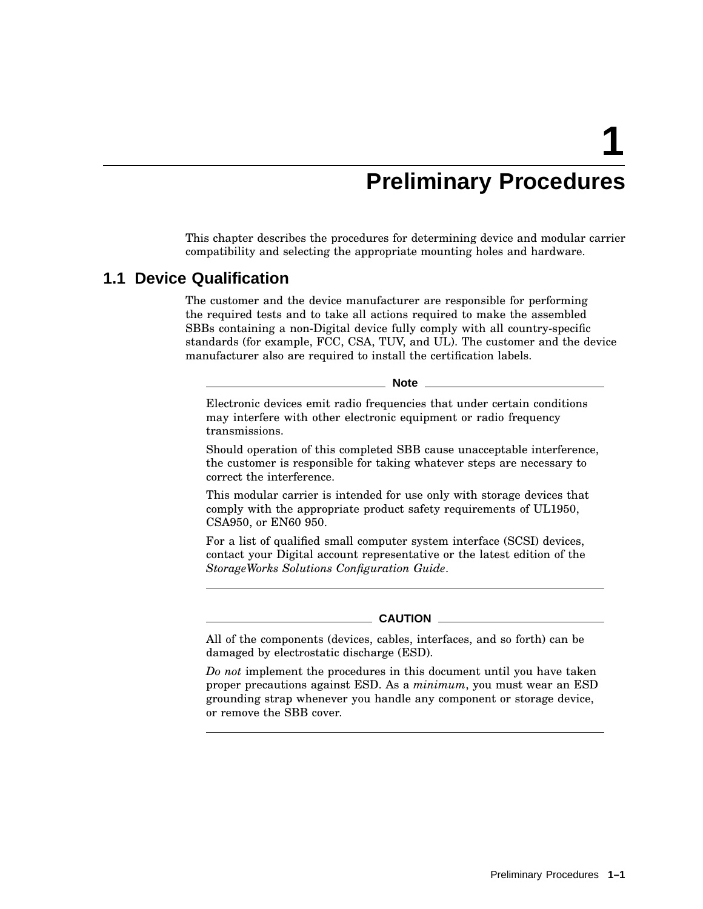## **Preliminary Procedures**

This chapter describes the procedures for determining device and modular carrier compatibility and selecting the appropriate mounting holes and hardware.

#### **1.1 Device Qualification**

The customer and the device manufacturer are responsible for performing the required tests and to take all actions required to make the assembled SBBs containing a non-Digital device fully comply with all country-specific standards (for example, FCC, CSA, TUV, and UL). The customer and the device manufacturer also are required to install the certification labels.

\_ Note \_

Electronic devices emit radio frequencies that under certain conditions may interfere with other electronic equipment or radio frequency transmissions.

Should operation of this completed SBB cause unacceptable interference, the customer is responsible for taking whatever steps are necessary to correct the interference.

This modular carrier is intended for use only with storage devices that comply with the appropriate product safety requirements of UL1950, CSA950, or EN60 950.

For a list of qualified small computer system interface (SCSI) devices, contact your Digital account representative or the latest edition of the *StorageWorks Solutions Configuration Guide*.

#### **CAUTION**

All of the components (devices, cables, interfaces, and so forth) can be damaged by electrostatic discharge (ESD).

*Do not* implement the procedures in this document until you have taken proper precautions against ESD. As a *minimum*, you must wear an ESD grounding strap whenever you handle any component or storage device, or remove the SBB cover.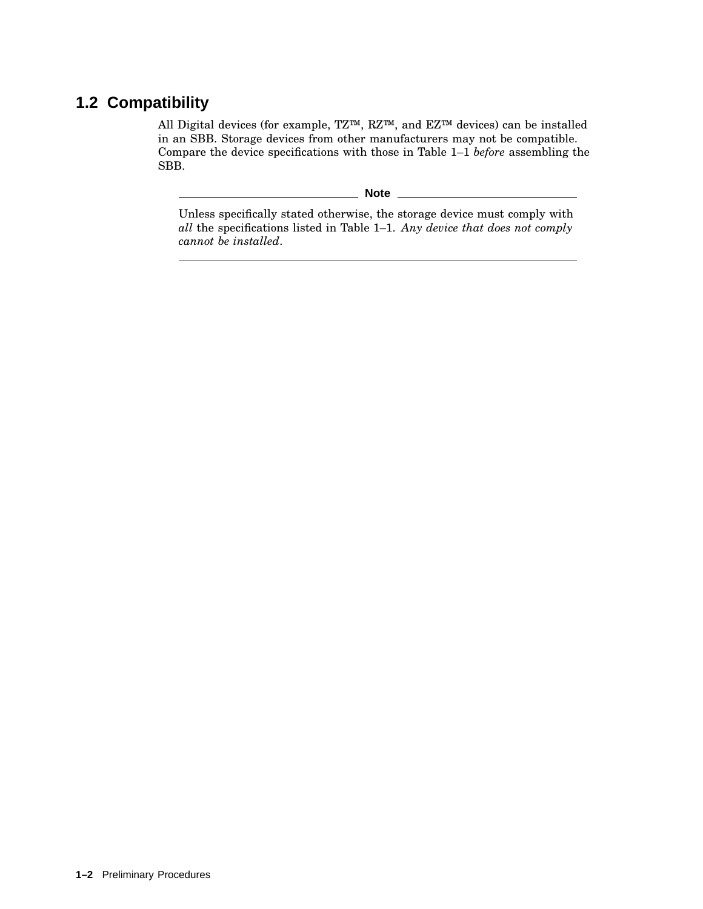## **1.2 Compatibility**

All Digital devices (for example, TZ™, RZ™, and EZ™ devices) can be installed in an SBB. Storage devices from other manufacturers may not be compatible. Compare the device specifications with those in Table 1–1 *before* assembling the SBB.

**Note** \_\_\_\_\_\_\_\_\_

Unless specifically stated otherwise, the storage device must comply with *all* the specifications listed in Table 1–1. *Any device that does not comply cannot be installed*.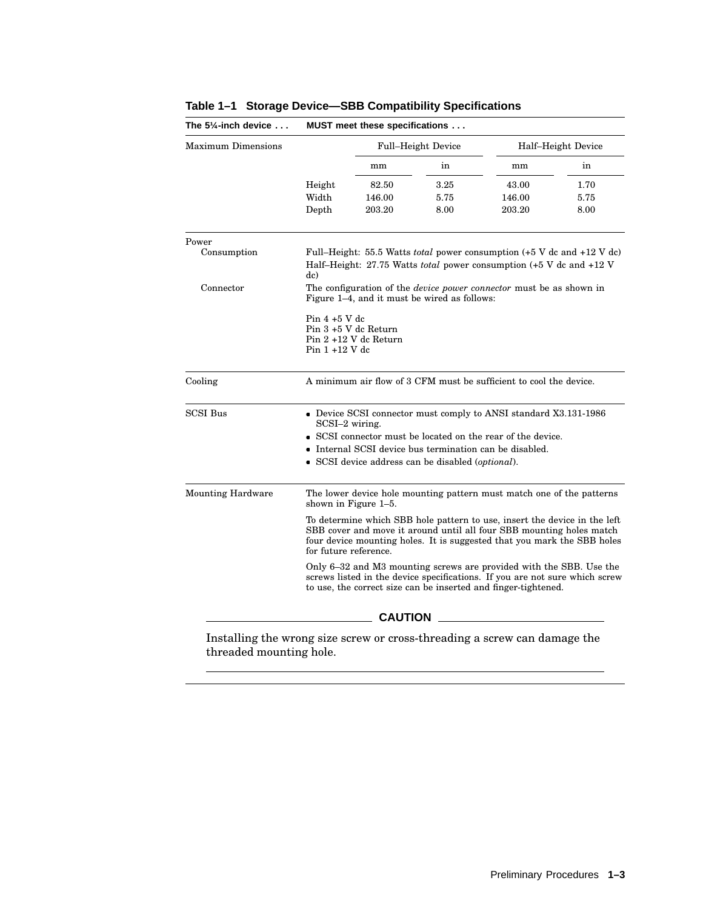|                                                                                                                                                                                                                                                       | Full-Height Device |                  | Half-Height Device                                                 |                                                                                                                                |  |  |  |
|-------------------------------------------------------------------------------------------------------------------------------------------------------------------------------------------------------------------------------------------------------|--------------------|------------------|--------------------------------------------------------------------|--------------------------------------------------------------------------------------------------------------------------------|--|--|--|
|                                                                                                                                                                                                                                                       | mm                 | in               | mm                                                                 | in                                                                                                                             |  |  |  |
| Height                                                                                                                                                                                                                                                | 82.50              | 3.25             | 43.00                                                              | 1.70                                                                                                                           |  |  |  |
| Width                                                                                                                                                                                                                                                 | 146.00             | 5.75             | 146.00                                                             | 5.75                                                                                                                           |  |  |  |
| Depth                                                                                                                                                                                                                                                 | 203.20             | 8.00             | 203.20                                                             | 8.00                                                                                                                           |  |  |  |
|                                                                                                                                                                                                                                                       |                    |                  |                                                                    |                                                                                                                                |  |  |  |
| Full-Height: 55.5 Watts <i>total</i> power consumption $(+5 \text{ V dc}$ and $+12 \text{ V dc})$<br>Half-Height: 27.75 Watts <i>total</i> power consumption (+5 V dc and +12 V<br>dc)                                                                |                    |                  |                                                                    |                                                                                                                                |  |  |  |
| The configuration of the <i>device power connector</i> must be as shown in<br>Figure 1-4, and it must be wired as follows:                                                                                                                            |                    |                  |                                                                    |                                                                                                                                |  |  |  |
| Pin $4+5$ V dc                                                                                                                                                                                                                                        |                    |                  |                                                                    |                                                                                                                                |  |  |  |
| Pin 3 +5 V dc Return<br>Pin 2 +12 V dc Return                                                                                                                                                                                                         |                    |                  |                                                                    |                                                                                                                                |  |  |  |
| Pin $1+12$ V dc                                                                                                                                                                                                                                       |                    |                  |                                                                    |                                                                                                                                |  |  |  |
|                                                                                                                                                                                                                                                       |                    |                  | A minimum air flow of 3 CFM must be sufficient to cool the device. |                                                                                                                                |  |  |  |
| • Device SCSI connector must comply to ANSI standard X3.131-1986                                                                                                                                                                                      |                    |                  |                                                                    |                                                                                                                                |  |  |  |
| SCSI connector must be located on the rear of the device.                                                                                                                                                                                             |                    |                  |                                                                    |                                                                                                                                |  |  |  |
| • Internal SCSI device bus termination can be disabled.                                                                                                                                                                                               |                    |                  |                                                                    |                                                                                                                                |  |  |  |
|                                                                                                                                                                                                                                                       |                    |                  |                                                                    |                                                                                                                                |  |  |  |
| The lower device hole mounting pattern must match one of the patterns<br>shown in Figure 1–5.                                                                                                                                                         |                    |                  |                                                                    |                                                                                                                                |  |  |  |
| To determine which SBB hole pattern to use, insert the device in the left<br>SBB cover and move it around until all four SBB mounting holes match<br>four device mounting holes. It is suggested that you mark the SBB holes<br>for future reference. |                    |                  |                                                                    |                                                                                                                                |  |  |  |
| Only 6–32 and M3 mounting screws are provided with the SBB. Use the<br>screws listed in the device specifications. If you are not sure which screw<br>to use, the correct size can be inserted and finger-tightened.                                  |                    |                  |                                                                    |                                                                                                                                |  |  |  |
| <b>CAUTION</b>                                                                                                                                                                                                                                        |                    |                  |                                                                    |                                                                                                                                |  |  |  |
|                                                                                                                                                                                                                                                       |                    | $SCSI-2$ wiring. |                                                                    | • SCSI device address can be disabled (optional).<br>Installing the wrong size screw or cross-threading a screw can damage the |  |  |  |

#### **Table 1–1 Storage Device—SBB Compatibility Specifications**

Installing the wrong size<br>threaded mounting hole.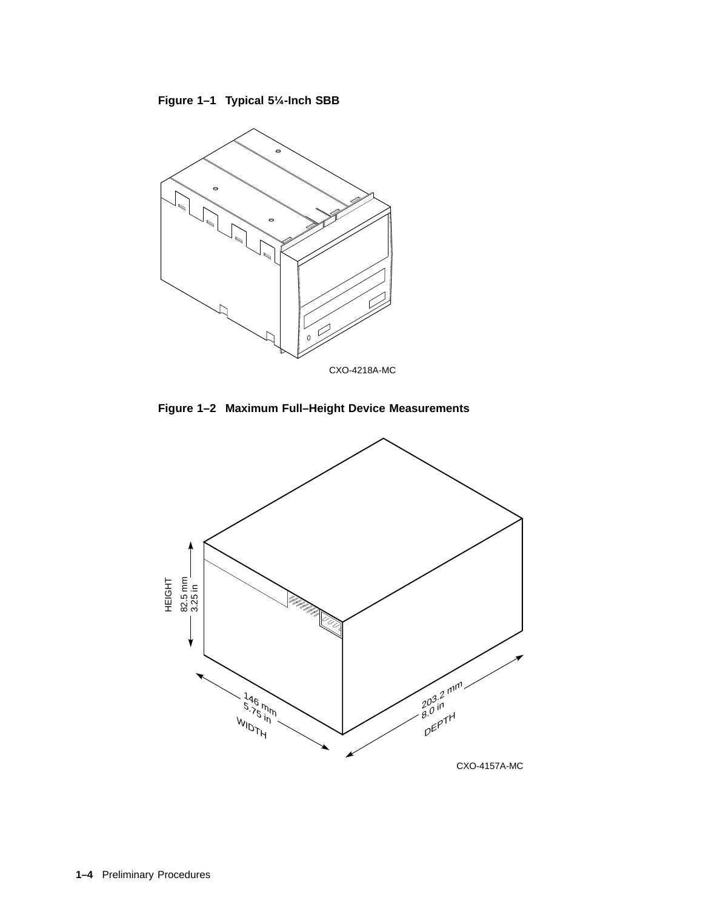



**Figure 1–2 Maximum Full–Height Device Measurements**



CXO-4157A-MC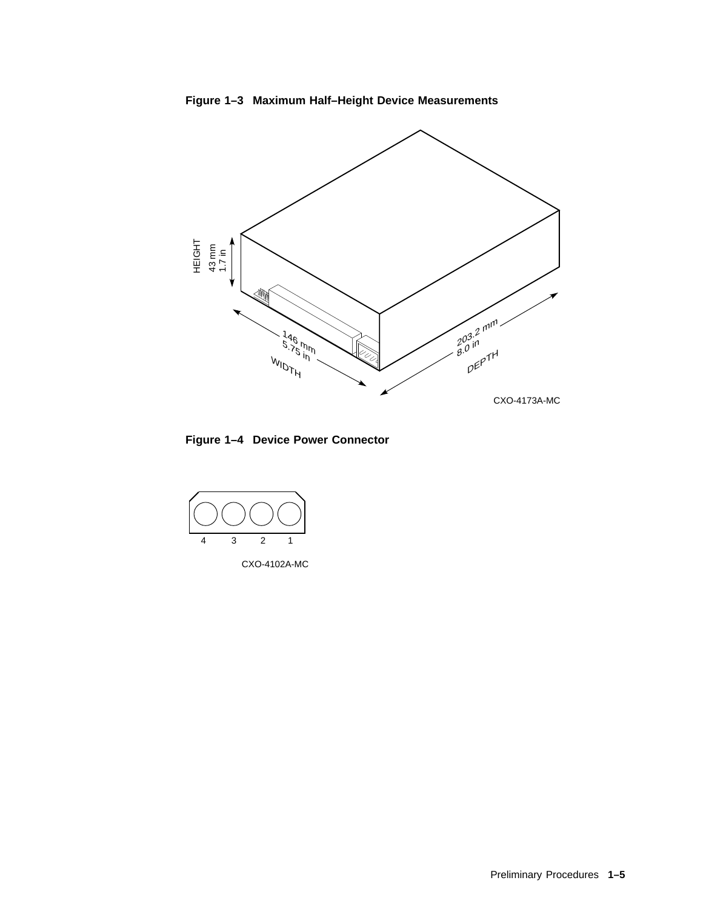







CXO-4102A-MC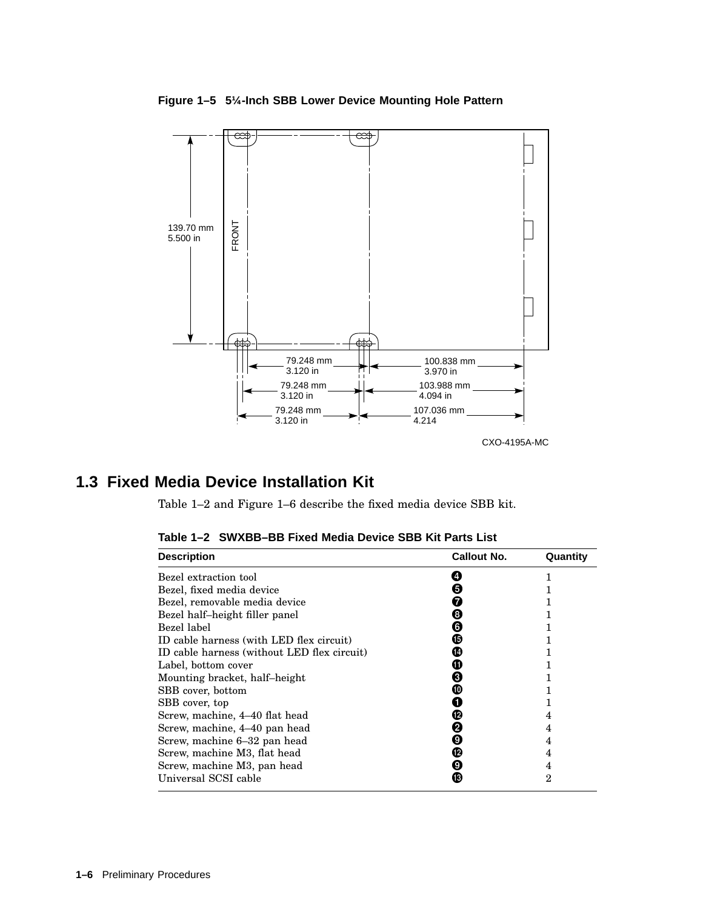**Figure 1–5 5¼-Inch SBB Lower Device Mounting Hole Pattern**



## **1.3 Fixed Media Device Installation Kit**

Table 1–2 and Figure 1–6 describe the fixed media device SBB kit.

| <b>Description</b>                          | <b>Callout No.</b> | Quantity       |
|---------------------------------------------|--------------------|----------------|
| Bezel extraction tool                       |                    |                |
| Bezel, fixed media device                   | Θ                  |                |
| Bezel, removable media device               | 7                  |                |
| Bezel half-height filler panel              | ❸                  |                |
| Bezel label                                 | G                  |                |
| ID cable harness (with LED flex circuit)    | ⊕                  |                |
| ID cable harness (without LED flex circuit) | ∞                  |                |
| Label, bottom cover                         | ⊕                  |                |
| Mounting bracket, half-height               | Θ                  |                |
| SBB cover, bottom                           | ⑩                  |                |
| SBB cover, top                              |                    |                |
| Screw, machine, 4–40 flat head              | œ                  | 4              |
| Screw, machine, 4–40 pan head               | Ø                  | 4              |
| Screw, machine 6–32 pan head                | O                  | 4              |
| Screw, machine M3, flat head                | ℗                  | 4              |
| Screw, machine M3, pan head                 | O                  | 4              |
| Universal SCSI cable                        | ®                  | $\overline{2}$ |

**Table 1–2 SWXBB–BB Fixed Media Device SBB Kit Parts List**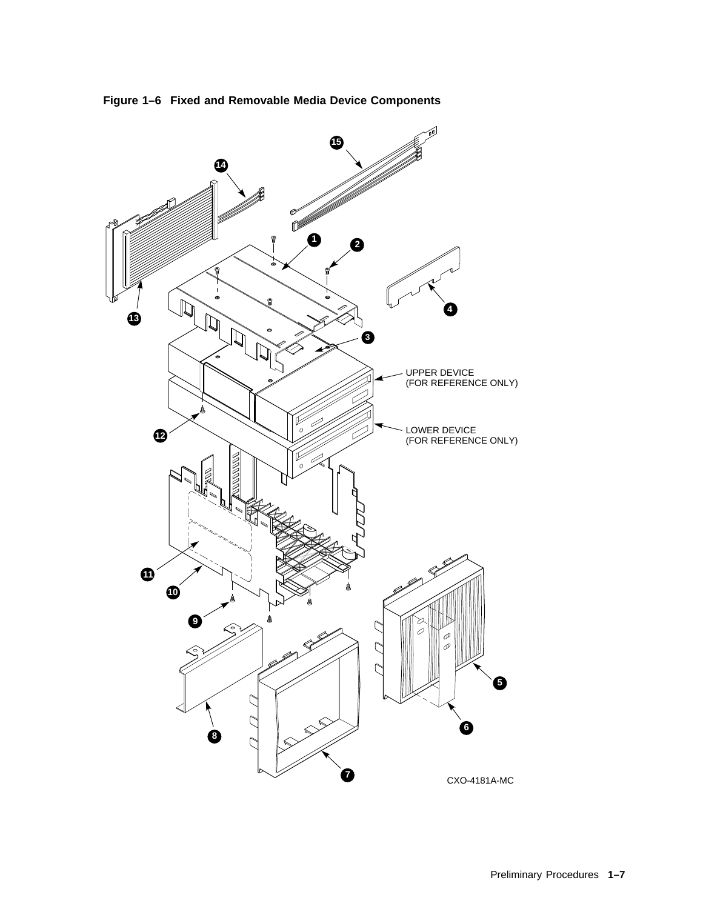

**Figure 1–6 Fixed and Removable Media Device Components**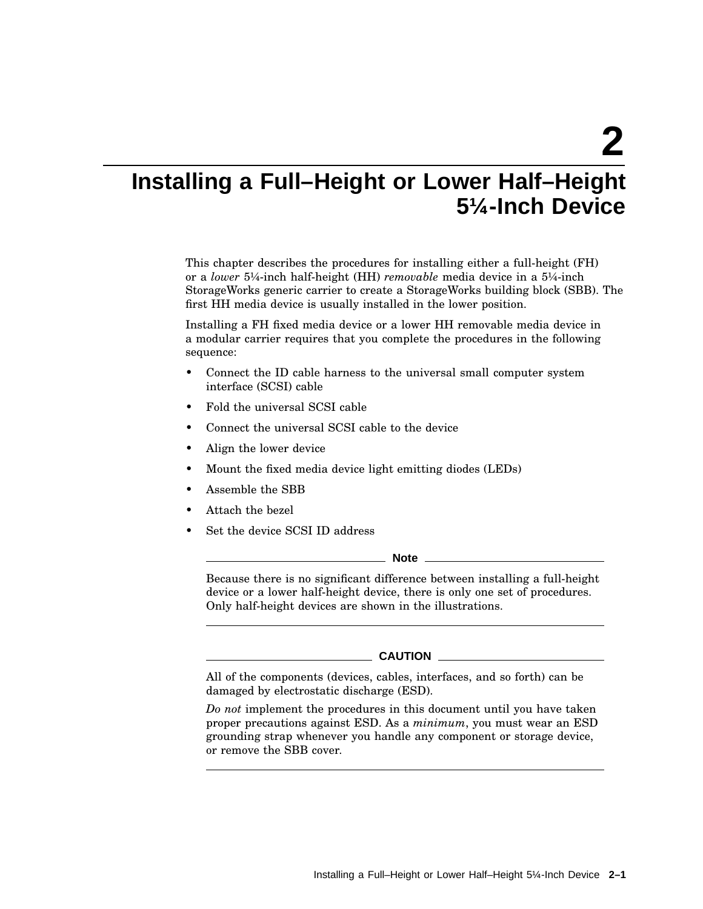**2**

## **Installing a Full–Height or Lower Half–Height 5¼-Inch Device**

This chapter describes the procedures for installing either a full-height (FH) or a *lower* 5¼-inch half-height (HH) *removable* media device in a 5¼-inch StorageWorks generic carrier to create a StorageWorks building block (SBB). The first HH media device is usually installed in the lower position.

Installing a FH fixed media device or a lower HH removable media device in a modular carrier requires that you complete the procedures in the following sequence:

- Connect the ID cable harness to the universal small computer system interface (SCSI) cable
- Fold the universal SCSI cable
- Connect the universal SCSI cable to the device
- Align the lower device
- Mount the fixed media device light emitting diodes (LEDs)
- Assemble the SBB
- Attach the bezel
- Set the device SCSI ID address

**Note**

Because there is no significant difference between installing a full-height device or a lower half-height device, there is only one set of procedures. Only half-height devices are shown in the illustrations.

#### **CAUTION**

All of the components (devices, cables, interfaces, and so forth) can be damaged by electrostatic discharge (ESD).

*Do not* implement the procedures in this document until you have taken proper precautions against ESD. As a *minimum*, you must wear an ESD grounding strap whenever you handle any component or storage device, or remove the SBB cover.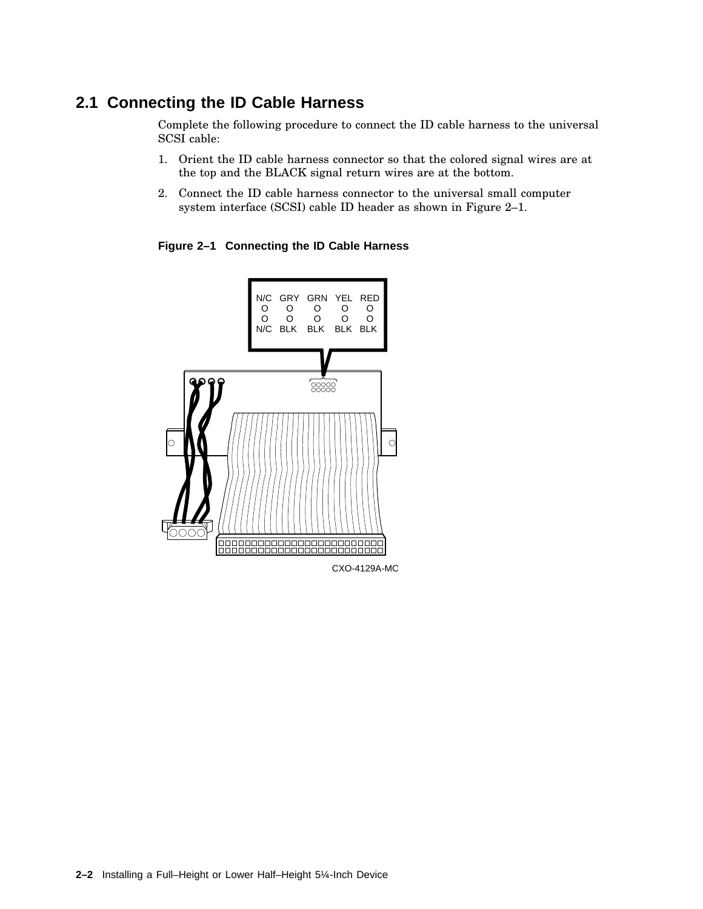## **2.1 Connecting the ID Cable Harness**

Complete the following procedure to connect the ID cable harness to the universal SCSI cable:

- 1. Orient the ID cable harness connector so that the colored signal wires are at the top and the BLACK signal return wires are at the bottom.
- 2. Connect the ID cable harness connector to the universal small computer system interface (SCSI) cable ID header as shown in Figure 2–1.

**Figure 2–1 Connecting the ID Cable Harness**

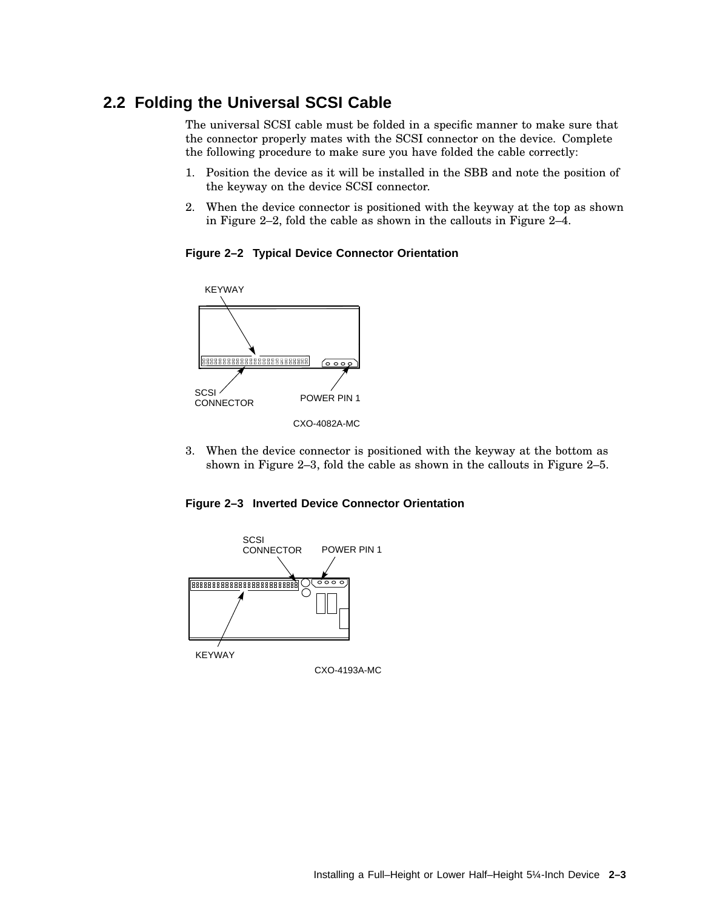## **2.2 Folding the Universal SCSI Cable**

The universal SCSI cable must be folded in a specific manner to make sure that the connector properly mates with the SCSI connector on the device. Complete the following procedure to make sure you have folded the cable correctly:

- 1. Position the device as it will be installed in the SBB and note the position of the keyway on the device SCSI connector.
- 2. When the device connector is positioned with the keyway at the top as shown in Figure 2–2, fold the cable as shown in the callouts in Figure 2–4.

**Figure 2–2 Typical Device Connector Orientation**



3. When the device connector is positioned with the keyway at the bottom as shown in Figure 2–3, fold the cable as shown in the callouts in Figure 2–5.





CXO-4193A-MC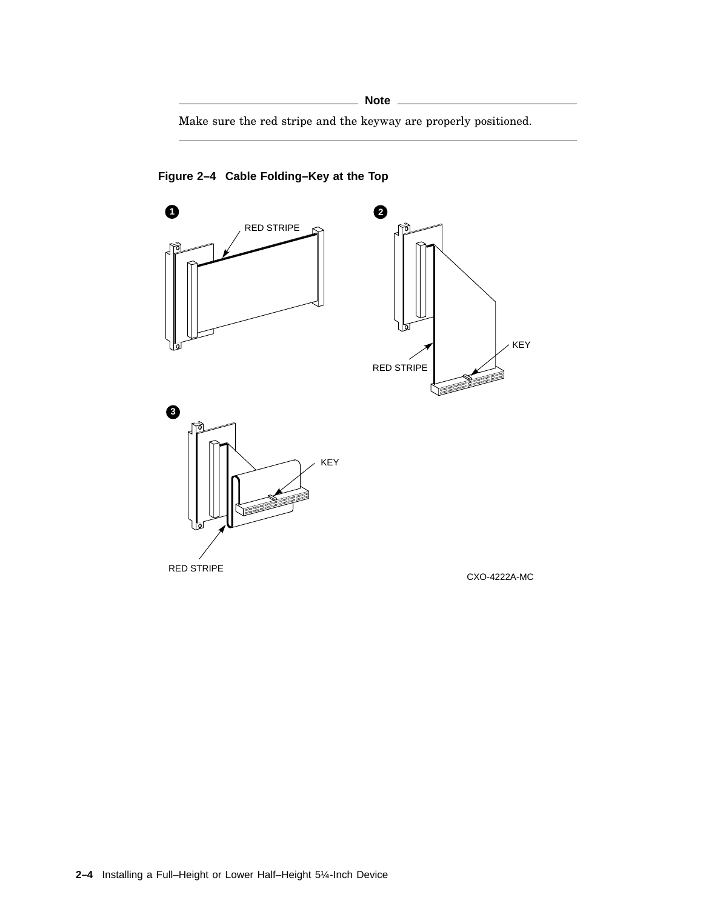Make sure the red stripe and the keyway are properly positioned.



**Figure 2–4 Cable Folding–Key at the Top**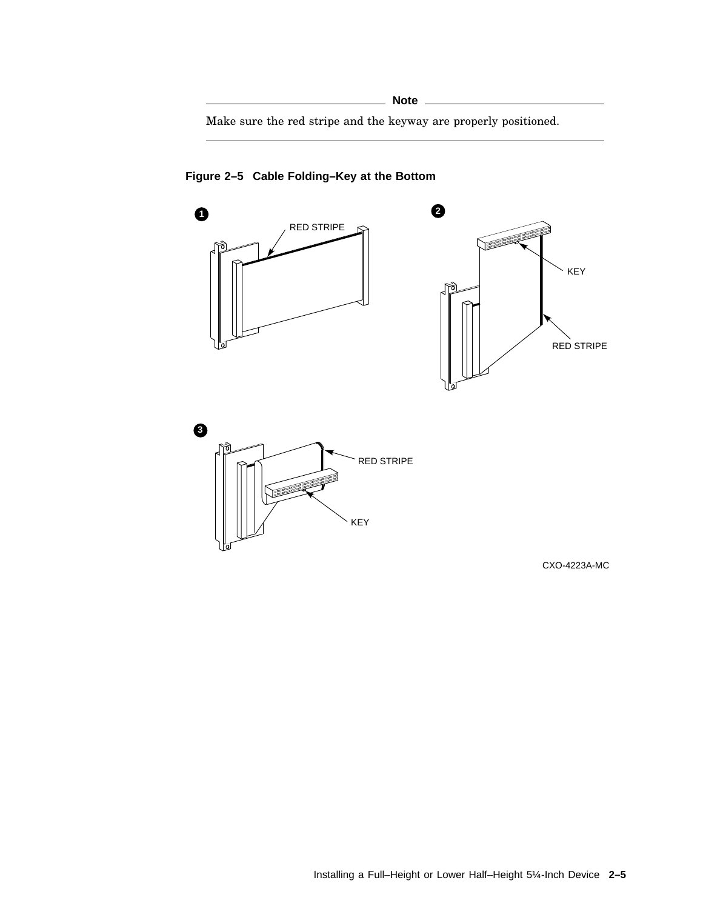Make sure the red stripe and the keyway are properly positioned.



**Figure 2–5 Cable Folding–Key at the Bottom**

CXO-4223A-MC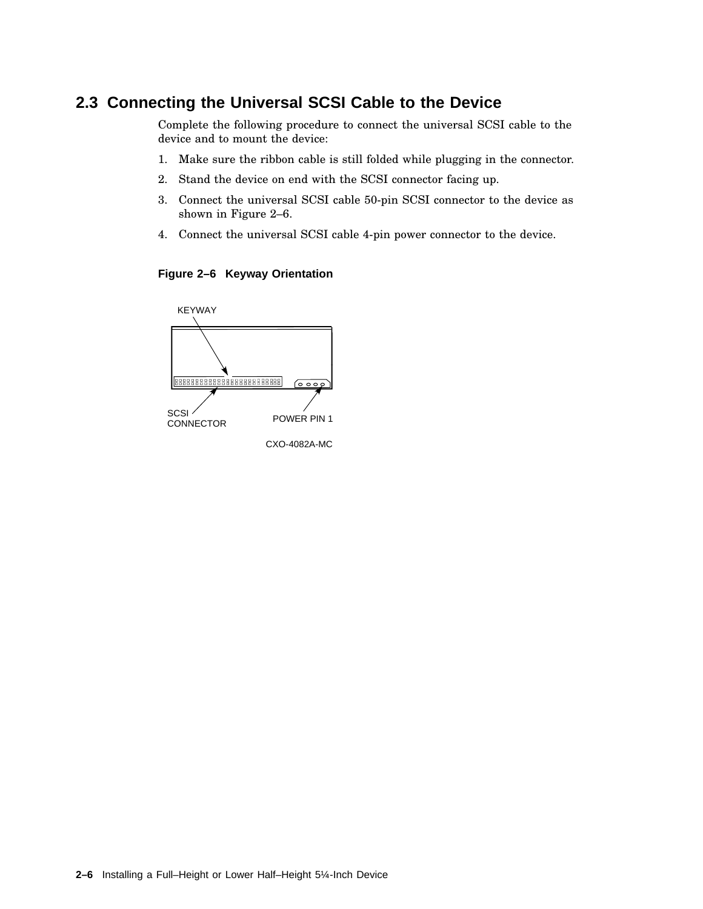### **2.3 Connecting the Universal SCSI Cable to the Device**

Complete the following procedure to connect the universal SCSI cable to the device and to mount the device:

- 1. Make sure the ribbon cable is still folded while plugging in the connector.
- 2. Stand the device on end with the SCSI connector facing up.
- 3. Connect the universal SCSI cable 50-pin SCSI connector to the device as shown in Figure 2–6.
- 4. Connect the universal SCSI cable 4-pin power connector to the device.

**Figure 2–6 Keyway Orientation**

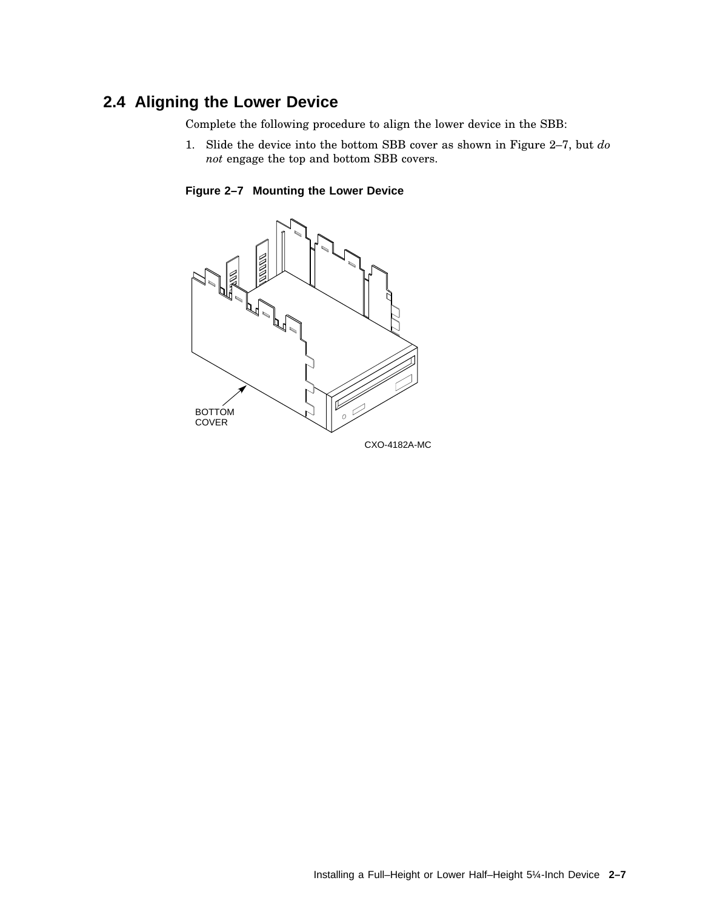### **2.4 Aligning the Lower Device**

Complete the following procedure to align the lower device in the SBB:

1. Slide the device into the bottom SBB cover as shown in Figure 2–7, but *do not* engage the top and bottom SBB covers.

**Figure 2–7 Mounting the Lower Device**

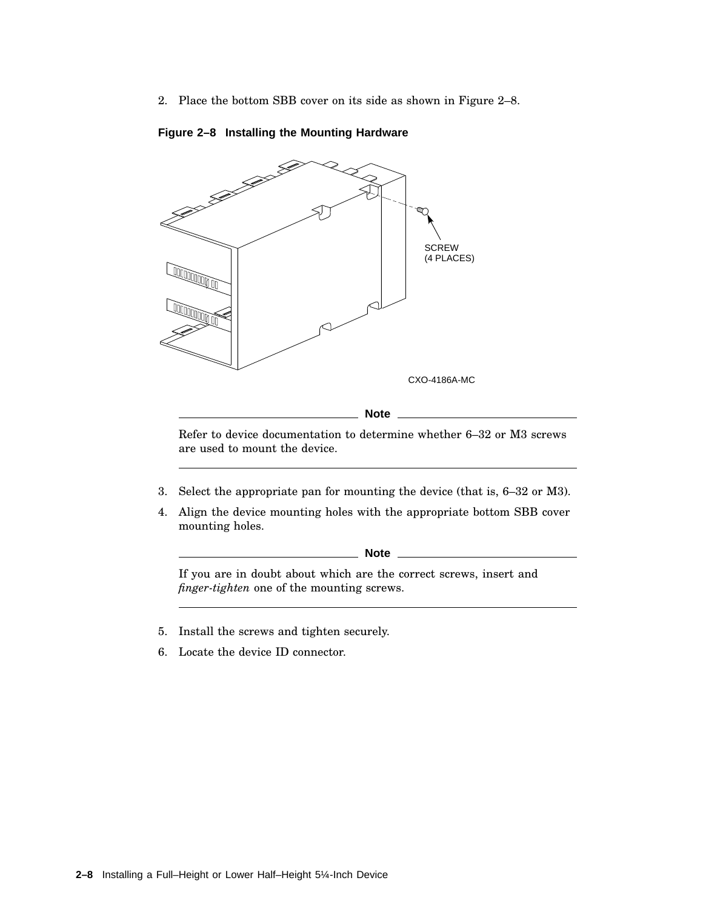2. Place the bottom SBB cover on its side as shown in Figure 2–8.



#### **Figure 2–8 Installing the Mounting Hardware**

Refer to device documentation to determine whether 6–32 or M3 screws are used to mount the device.

- 3. Select the appropriate pan for mounting the device (that is, 6–32 or M3).
- 4. Align the device mounting holes with the appropriate bottom SBB cover mounting holes.

**Note** 

If you are in doubt about which are the correct screws, insert and *finger-tighten* one of the mounting screws.

- 5. Install the screws and tighten securely.
- 6. Locate the device ID connector.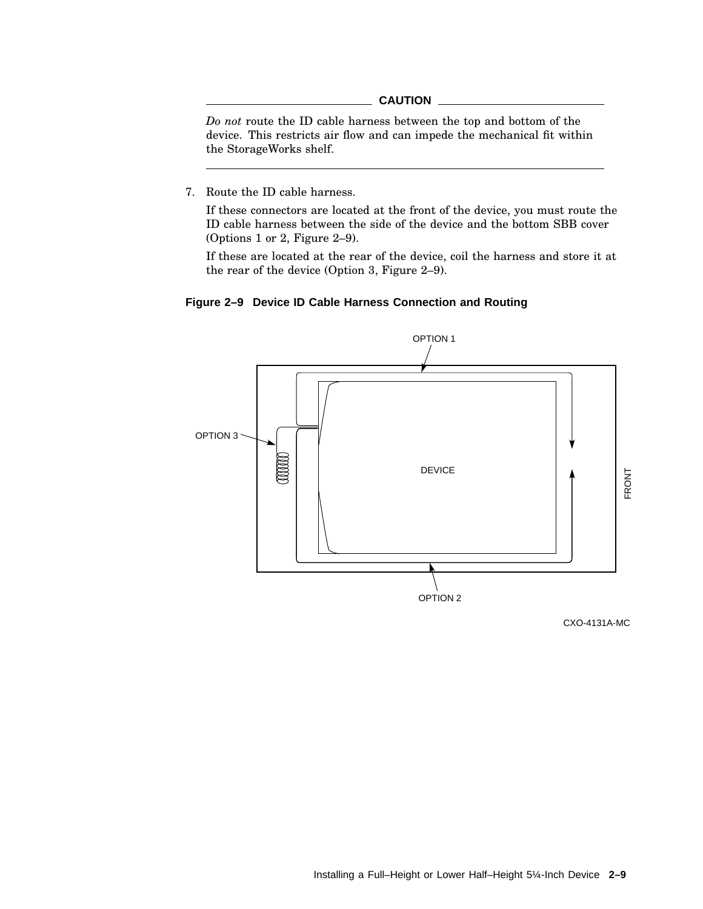#### **CAUTION**

*Do not* route the ID cable harness between the top and bottom of the device. This restricts air flow and can impede the mechanical fit within the StorageWorks shelf.

7. Route the ID cable harness.

If these connectors are located at the front of the device, you must route the ID cable harness between the side of the device and the bottom SBB cover (Options 1 or 2, Figure 2–9).

If these are located at the rear of the device, coil the harness and store it at the rear of the device (Option 3, Figure 2–9).





CXO-4131A-MC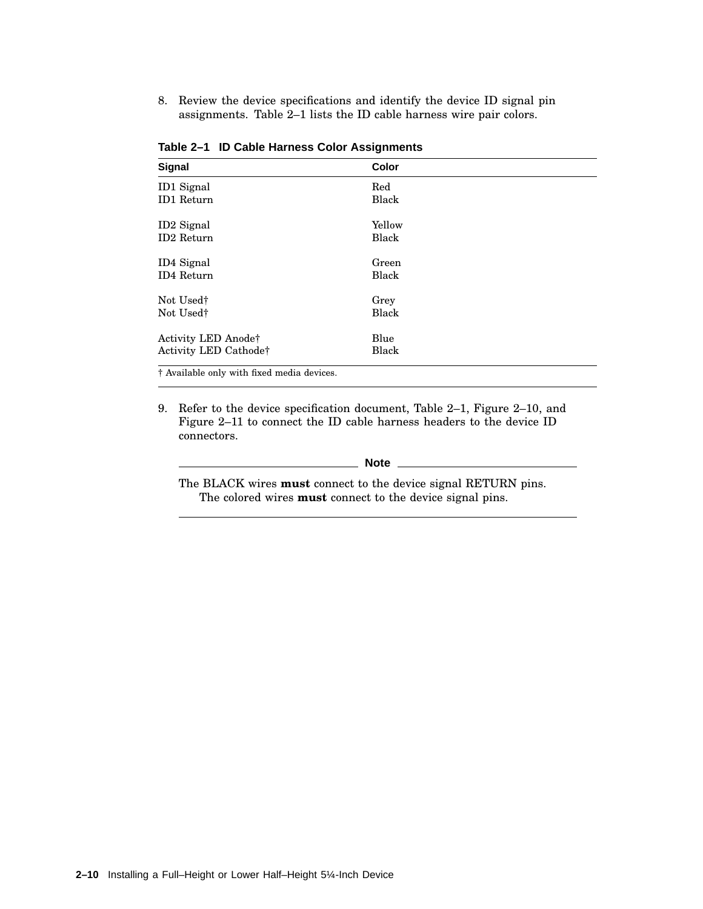8. Review the device specifications and identify the device ID signal pin assignments. Table 2–1 lists the ID cable harness wire pair colors.

| Color  |      |
|--------|------|
| Red    |      |
| Black  |      |
| Yellow |      |
| Black  |      |
| Green  |      |
| Black  |      |
|        |      |
| Black  |      |
| Blue   |      |
| Black  |      |
|        | Grey |

**Table 2–1 ID Cable Harness Color Assignments**

† Available only with fixed media devices.

9. Refer to the device specification document, Table 2–1, Figure 2–10, and Figure 2–11 to connect the ID cable harness headers to the device ID connectors.

#### **Note**

The BLACK wires **must** connect to the device signal RETURN pins. The colored wires **must** connect to the device signal pins.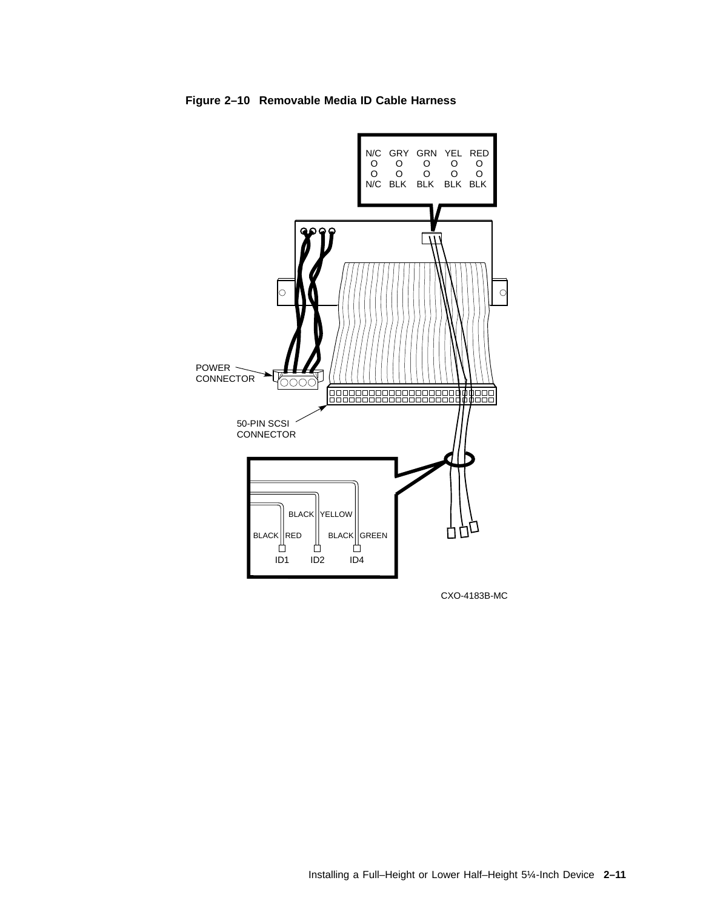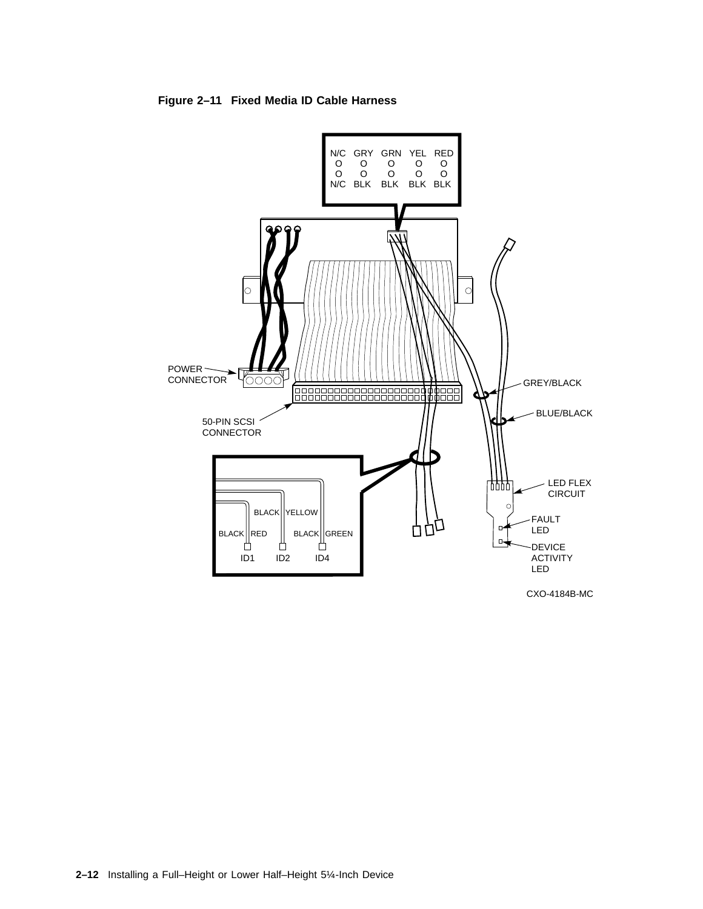

**Figure 2–11 Fixed Media ID Cable Harness**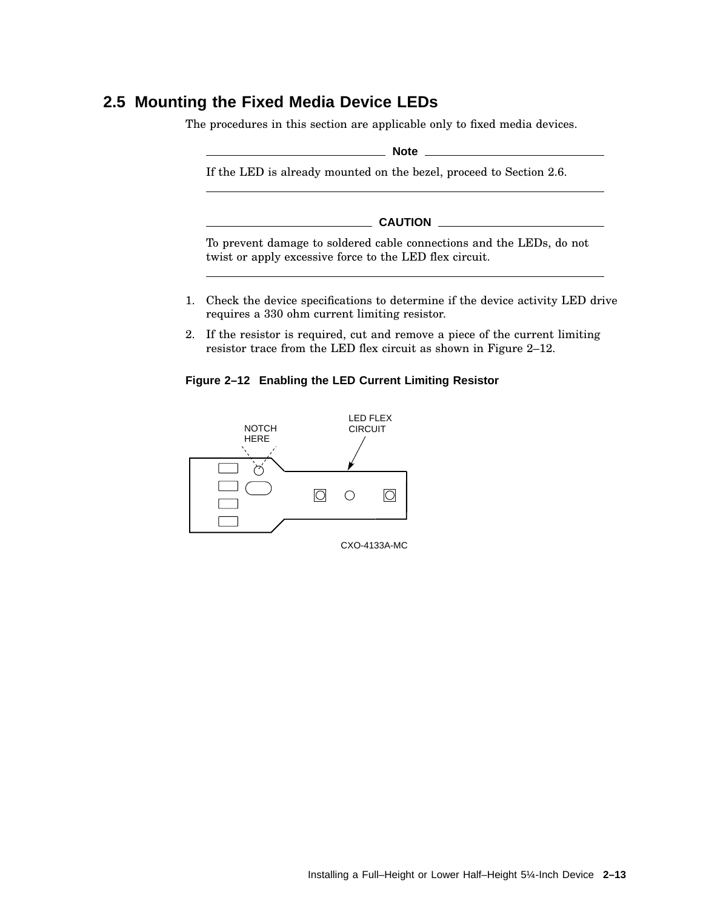## **2.5 Mounting the Fixed Media Device LEDs**

The procedures in this section are applicable only to fixed media devices.

**Note** 2008

If the LED is already mounted on the bezel, proceed to Section 2.6.

**CAUTION**

To prevent damage to soldered cable connections and the LEDs, do not twist or apply excessive force to the LED flex circuit.

- 1. Check the device specifications to determine if the device activity LED drive requires a 330 ohm current limiting resistor.
- 2. If the resistor is required, cut and remove a piece of the current limiting resistor trace from the LED flex circuit as shown in Figure 2–12.

#### **Figure 2–12 Enabling the LED Current Limiting Resistor**

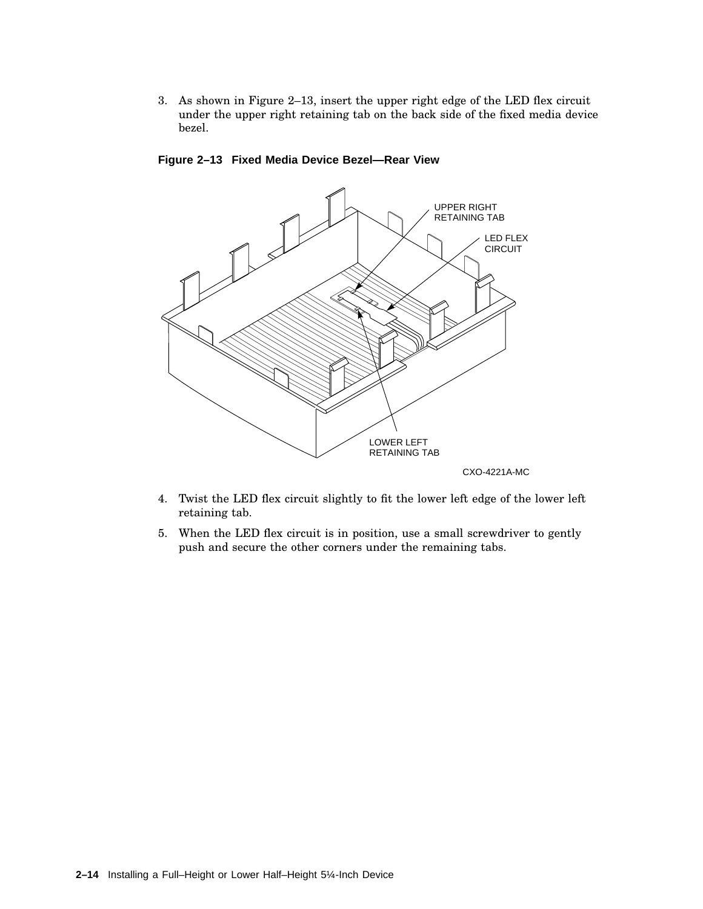3. As shown in Figure 2–13, insert the upper right edge of the LED flex circuit under the upper right retaining tab on the back side of the fixed media device bezel.



**Figure 2–13 Fixed Media Device Bezel—Rear View**

- 4. Twist the LED flex circuit slightly to fit the lower left edge of the lower left retaining tab.
- 5. When the LED flex circuit is in position, use a small screwdriver to gently push and secure the other corners under the remaining tabs.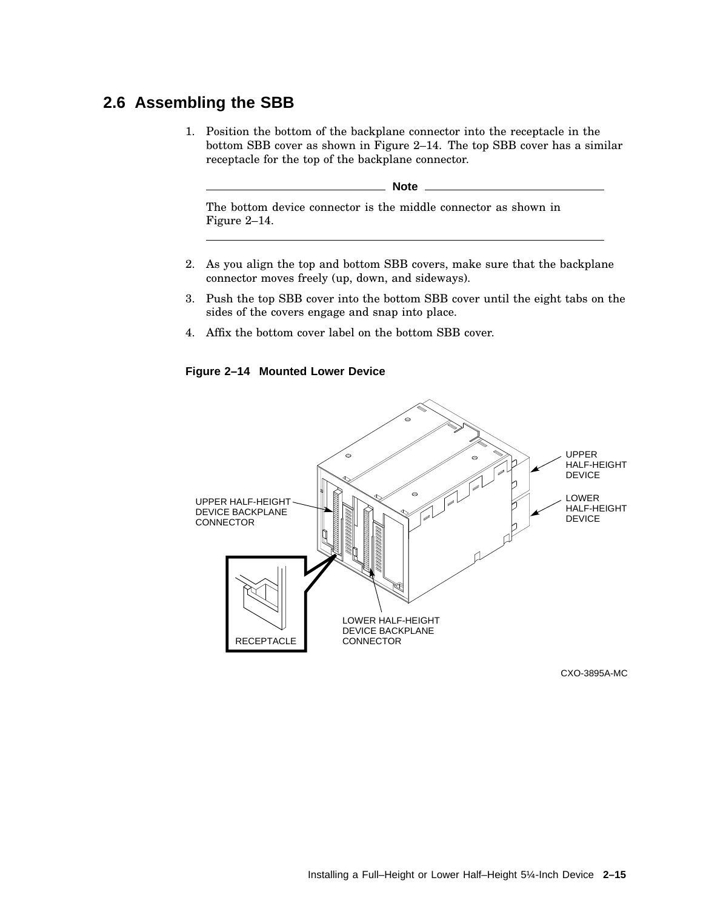### **2.6 Assembling the SBB**

1. Position the bottom of the backplane connector into the receptacle in the bottom SBB cover as shown in Figure 2–14. The top SBB cover has a similar receptacle for the top of the backplane connector.

**Note**

The bottom device connector is the middle connector as shown in Figure 2–14.

- 2. As you align the top and bottom SBB covers, make sure that the backplane connector moves freely (up, down, and sideways).
- 3. Push the top SBB cover into the bottom SBB cover until the eight tabs on the sides of the covers engage and snap into place.
- 4. Affix the bottom cover label on the bottom SBB cover.

**Figure 2–14 Mounted Lower Device**



CXO-3895A-MC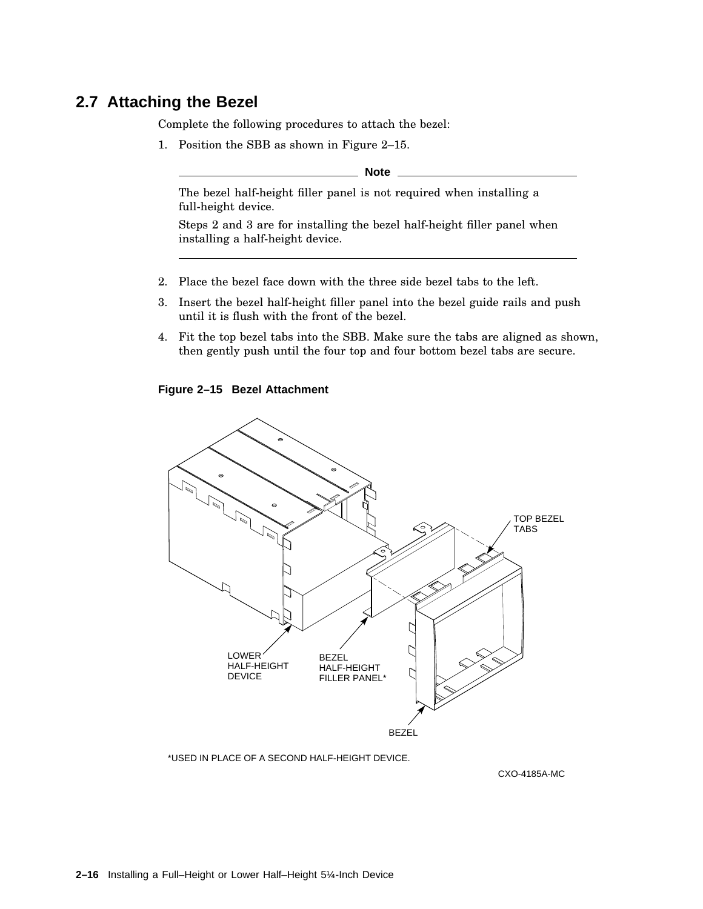#### **2.7 Attaching the Bezel**

Complete the following procedures to attach the bezel:

1. Position the SBB as shown in Figure 2–15.

**Note**

The bezel half-height filler panel is not required when installing a full-height device.

Steps 2 and 3 are for installing the bezel half-height filler panel when installing a half-height device.

- 2. Place the bezel face down with the three side bezel tabs to the left.
- 3. Insert the bezel half-height filler panel into the bezel guide rails and push until it is flush with the front of the bezel.
- 4. Fit the top bezel tabs into the SBB. Make sure the tabs are aligned as shown, then gently push until the four top and four bottom bezel tabs are secure.

#### **Figure 2–15 Bezel Attachment**



\*USED IN PLACE OF A SECOND HALF-HEIGHT DEVICE.

CXO-4185A-MC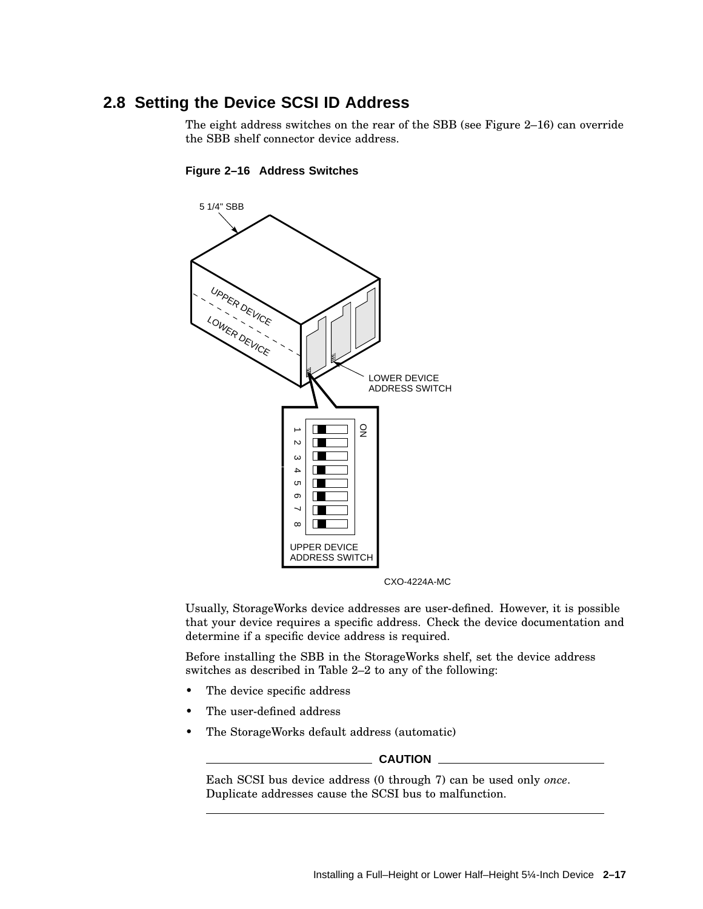### **2.8 Setting the Device SCSI ID Address**

The eight address switches on the rear of the SBB (see Figure 2–16) can override the SBB shelf connector device address.



#### **Figure 2–16 Address Switches**

CXO-4224A-MC

Usually, StorageWorks device addresses are user-defined. However, it is possible that your device requires a specific address. Check the device documentation and determine if a specific device address is required.

Before installing the SBB in the StorageWorks shelf, set the device address switches as described in Table 2–2 to any of the following:

- The device specific address
- The user-defined address
- The StorageWorks default address (automatic)

#### **CAUTION**

Each SCSI bus device address (0 through 7) can be used only *once*. Duplicate addresses cause the SCSI bus to malfunction.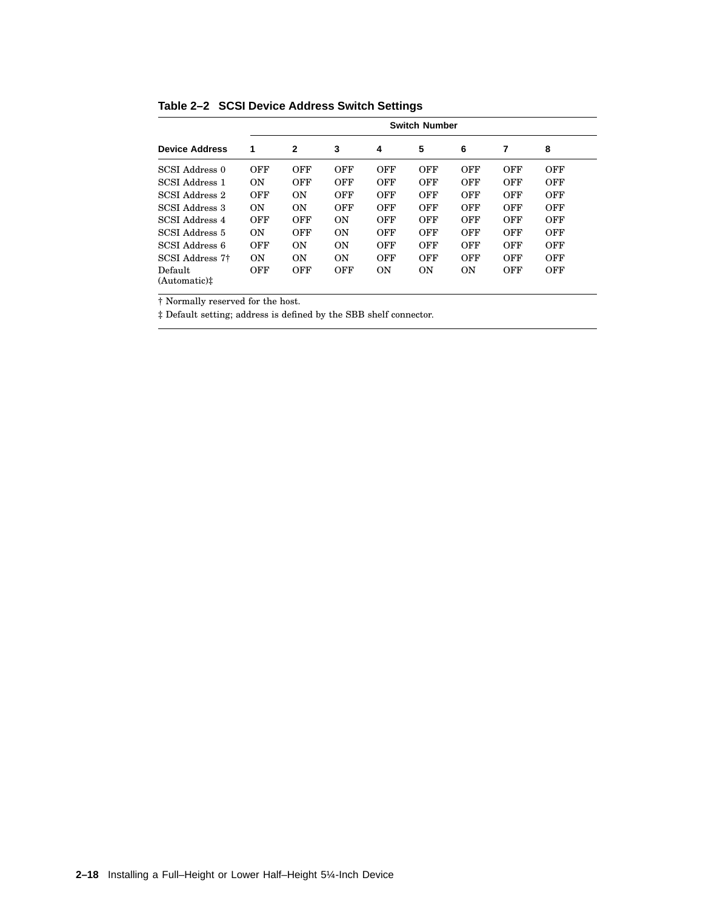|                                     | <b>Switch Number</b> |                |     |                |                |                |     |            |
|-------------------------------------|----------------------|----------------|-----|----------------|----------------|----------------|-----|------------|
| <b>Device Address</b>               | 1                    | 2              | 3   | 4              | 5              | 6              | 7   | 8          |
| SCSI Address 0                      | OFF                  | OFF            | OFF | OFF            | OFF            | OFF            | OFF | OFF        |
| SCSI Address 1                      | ON                   | OFF            | OFF | OFF            | OFF            | OFF            | OFF | OFF        |
| SCSI Address 2                      | OFF                  | 0 <sub>N</sub> | OFF | OFF            | OFF            | OFF            | OFF | <b>OFF</b> |
| SCSI Address 3                      | ON                   | ON             | OFF | OFF            | OFF            | OFF            | OFF | OFF        |
| SCSI Address 4                      | OFF                  | OFF            | ON  | OFF            | OFF            | OFF            | OFF | OFF        |
| SCSI Address 5                      | ON                   | OFF            | ON  | OFF            | OFF            | OFF            | OFF | OFF        |
| SCSI Address 6                      | OFF                  | ON             | ON  | OFF            | OFF            | OFF            | OFF | OFF        |
| SCSI Address 7 <sup>†</sup>         | ON                   | ON             | ON  | OFF            | OFF            | OFF            | OFF | OFF        |
| Default<br>(Automatic) <sup>†</sup> | OFF                  | OFF            | OFF | 0 <sub>N</sub> | 0 <sub>N</sub> | 0 <sub>N</sub> | OFF | <b>OFF</b> |

**Table 2–2 SCSI Device Address Switch Settings**

† Normally reserved for the host.

‡ Default setting; address is defined by the SBB shelf connector.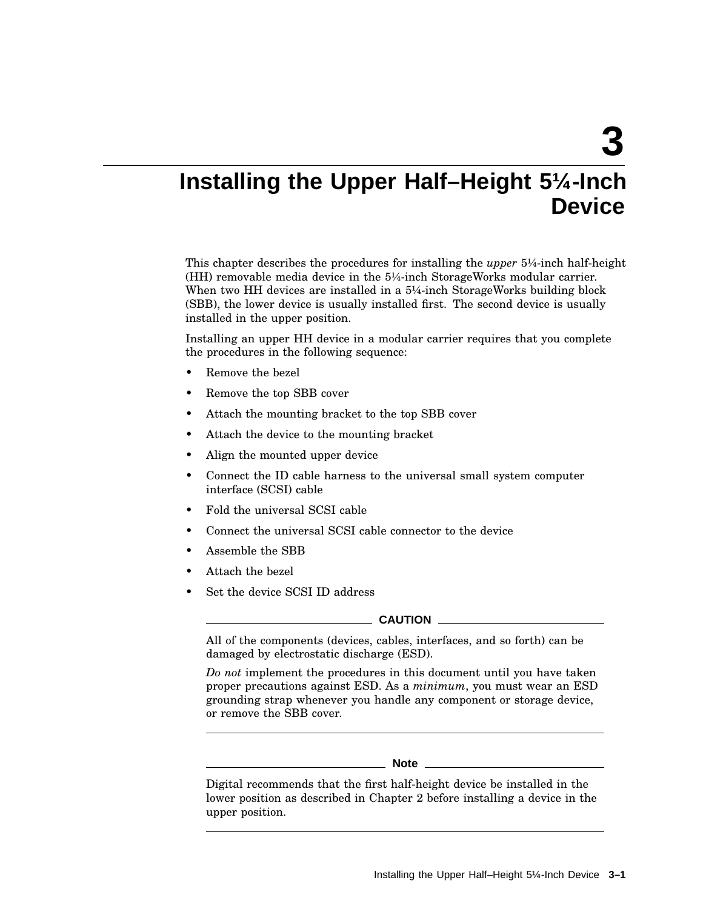**3**

## **Installing the Upper Half–Height 5¼-Inch Device**

This chapter describes the procedures for installing the *upper* 5¼-inch half-height (HH) removable media device in the 5¼-inch StorageWorks modular carrier. When two HH devices are installed in a 5¼-inch StorageWorks building block (SBB), the lower device is usually installed first. The second device is usually installed in the upper position.

Installing an upper HH device in a modular carrier requires that you complete the procedures in the following sequence:

- Remove the bezel
- Remove the top SBB cover
- Attach the mounting bracket to the top SBB cover
- Attach the device to the mounting bracket
- Align the mounted upper device
- Connect the ID cable harness to the universal small system computer interface (SCSI) cable
- Fold the universal SCSI cable
- Connect the universal SCSI cable connector to the device
- Assemble the SBB
- Attach the bezel
- Set the device SCSI ID address

#### **CAUTION**

All of the components (devices, cables, interfaces, and so forth) can be damaged by electrostatic discharge (ESD).

*Do not* implement the procedures in this document until you have taken proper precautions against ESD. As a *minimum*, you must wear an ESD grounding strap whenever you handle any component or storage device, or remove the SBB cover.

#### **Note**

Digital recommends that the first half-height device be installed in the lower position as described in Chapter 2 before installing a device in the upper position.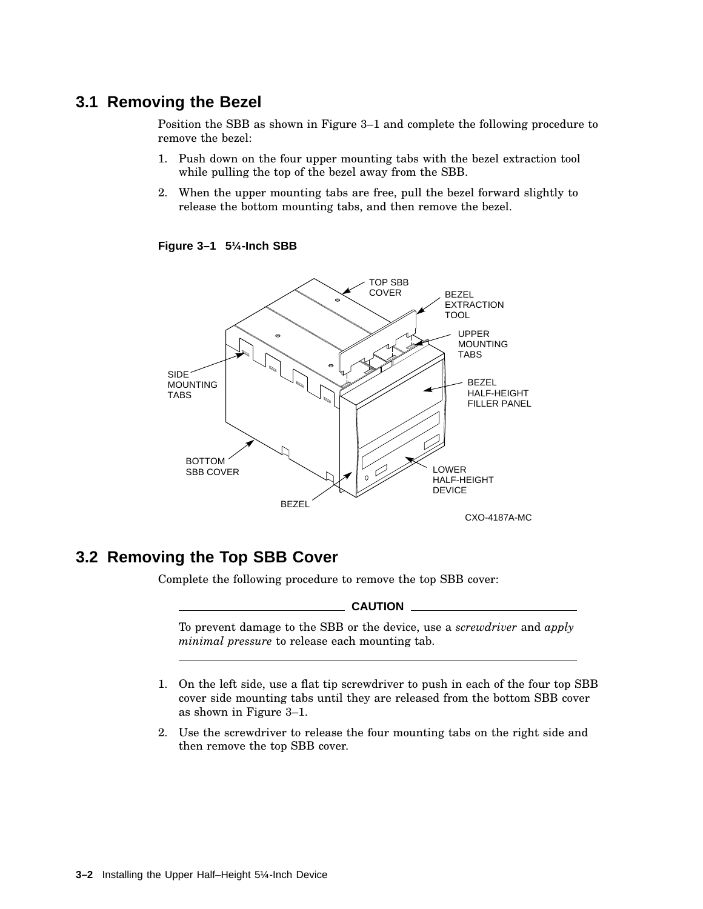### **3.1 Removing the Bezel**

Position the SBB as shown in Figure 3–1 and complete the following procedure to remove the bezel:

- 1. Push down on the four upper mounting tabs with the bezel extraction tool while pulling the top of the bezel away from the SBB.
- 2. When the upper mounting tabs are free, pull the bezel forward slightly to release the bottom mounting tabs, and then remove the bezel.

**Figure 3–1 5¼-Inch SBB**



## **3.2 Removing the Top SBB Cover**

Complete the following procedure to remove the top SBB cover:

**CAUTION**

To prevent damage to the SBB or the device, use a *screwdriver* and *apply minimal pressure* to release each mounting tab.

- 1. On the left side, use a flat tip screwdriver to push in each of the four top SBB cover side mounting tabs until they are released from the bottom SBB cover as shown in Figure 3–1.
- 2. Use the screwdriver to release the four mounting tabs on the right side and then remove the top SBB cover.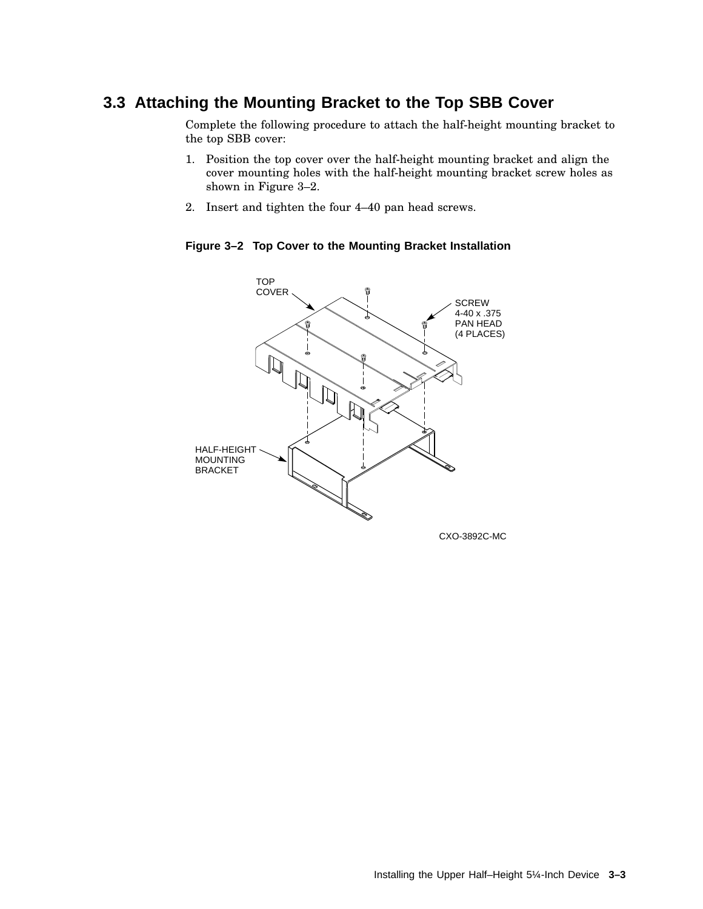## **3.3 Attaching the Mounting Bracket to the Top SBB Cover**

Complete the following procedure to attach the half-height mounting bracket to the top SBB cover:

- 1. Position the top cover over the half-height mounting bracket and align the cover mounting holes with the half-height mounting bracket screw holes as shown in Figure 3–2.
- 2. Insert and tighten the four 4–40 pan head screws.

**Figure 3–2 Top Cover to the Mounting Bracket Installation**



CXO-3892C-MC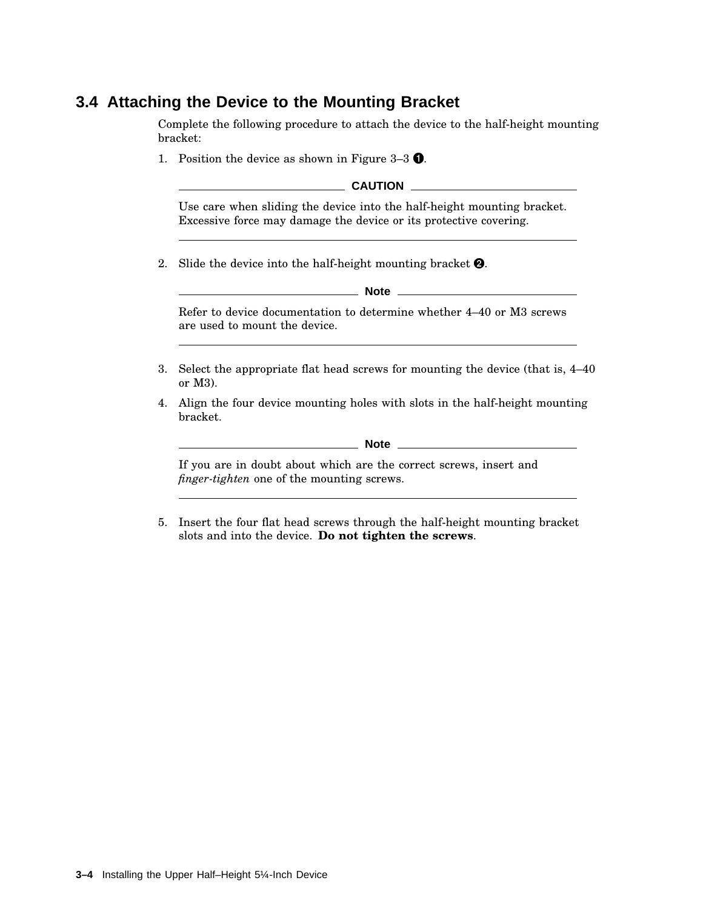## **3.4 Attaching the Device to the Mounting Bracket**

Complete the following procedure to attach the device to the half-height mounting bracket:

1. Position the device as shown in Figure  $3-3$   $\bullet$ .

**CAUTION** 

Use care when sliding the device into the half-height mounting bracket. Excessive force may damage the device or its protective covering.

2. Slide the device into the half-height mounting bracket  $\bullet$ .

**Note**

Refer to device documentation to determine whether 4–40 or M3 screws are used to mount the device.

- 3. Select the appropriate flat head screws for mounting the device (that is, 4–40 or M3).
- 4. Align the four device mounting holes with slots in the half-height mounting bracket.

**Note**

If you are in doubt about which are the correct screws, insert and *finger-tighten* one of the mounting screws.

5. Insert the four flat head screws through the half-height mounting bracket slots and into the device. **Do not tighten the screws**.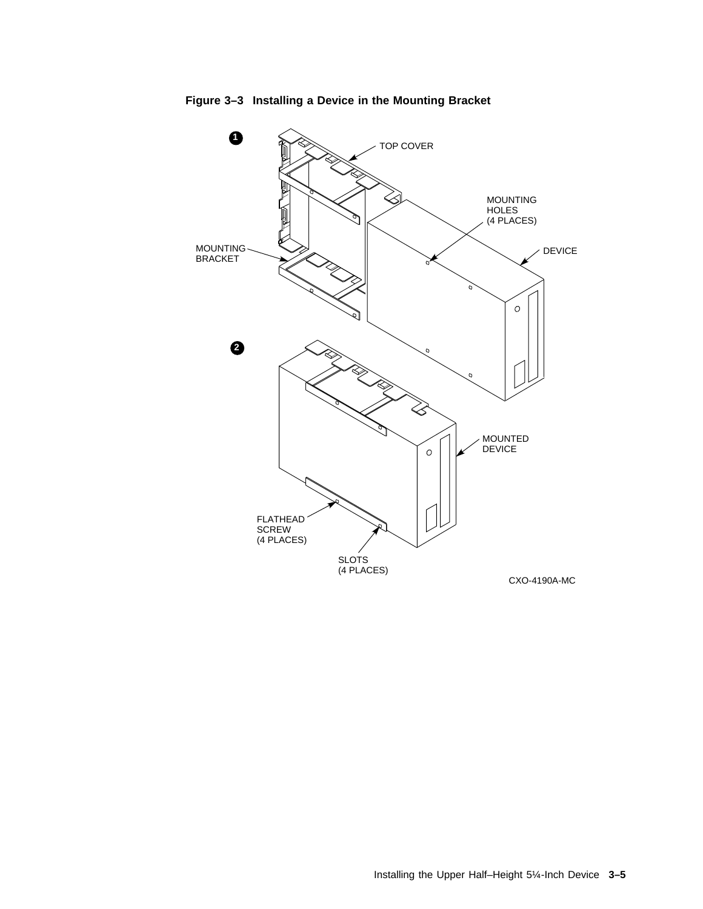

**Figure 3–3 Installing a Device in the Mounting Bracket**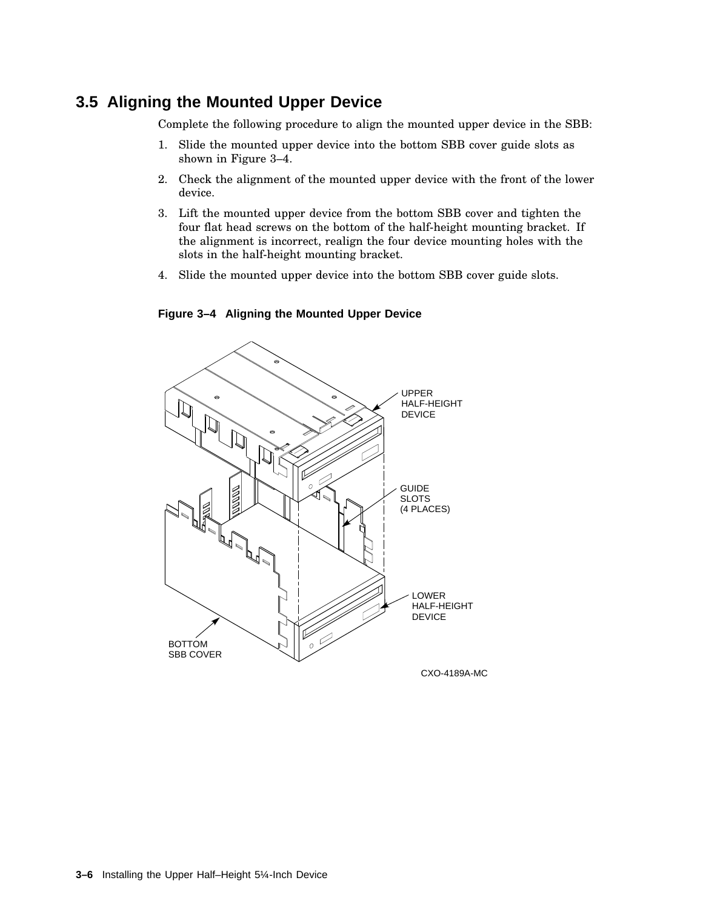### **3.5 Aligning the Mounted Upper Device**

Complete the following procedure to align the mounted upper device in the SBB:

- 1. Slide the mounted upper device into the bottom SBB cover guide slots as shown in Figure 3–4.
- 2. Check the alignment of the mounted upper device with the front of the lower device.
- 3. Lift the mounted upper device from the bottom SBB cover and tighten the four flat head screws on the bottom of the half-height mounting bracket. If the alignment is incorrect, realign the four device mounting holes with the slots in the half-height mounting bracket.
- 4. Slide the mounted upper device into the bottom SBB cover guide slots.



**Figure 3–4 Aligning the Mounted Upper Device**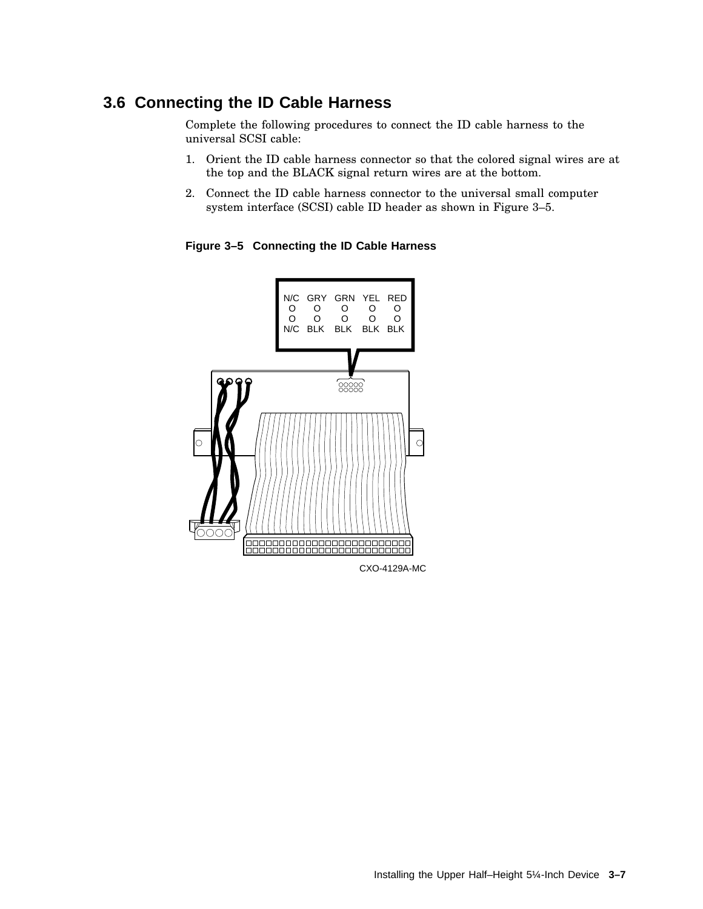## **3.6 Connecting the ID Cable Harness**

Complete the following procedures to connect the ID cable harness to the universal SCSI cable:

- 1. Orient the ID cable harness connector so that the colored signal wires are at the top and the BLACK signal return wires are at the bottom.
- 2. Connect the ID cable harness connector to the universal small computer system interface (SCSI) cable ID header as shown in Figure 3–5.

**Figure 3–5 Connecting the ID Cable Harness**

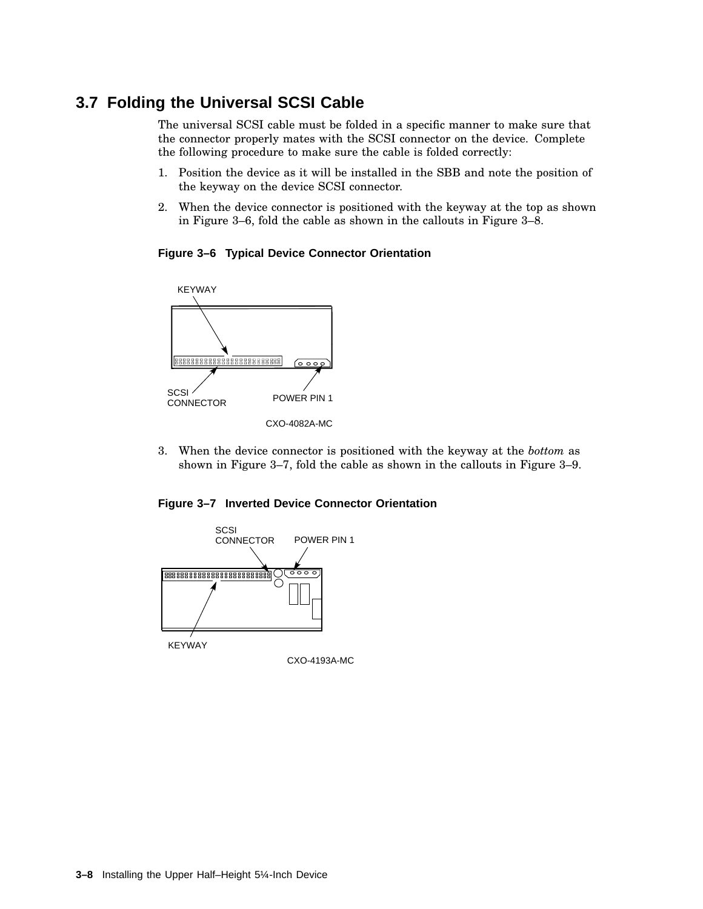## **3.7 Folding the Universal SCSI Cable**

The universal SCSI cable must be folded in a specific manner to make sure that the connector properly mates with the SCSI connector on the device. Complete the following procedure to make sure the cable is folded correctly:

- 1. Position the device as it will be installed in the SBB and note the position of the keyway on the device SCSI connector.
- 2. When the device connector is positioned with the keyway at the top as shown in Figure 3–6, fold the cable as shown in the callouts in Figure 3–8.





3. When the device connector is positioned with the keyway at the *bottom* as shown in Figure 3–7, fold the cable as shown in the callouts in Figure 3–9.



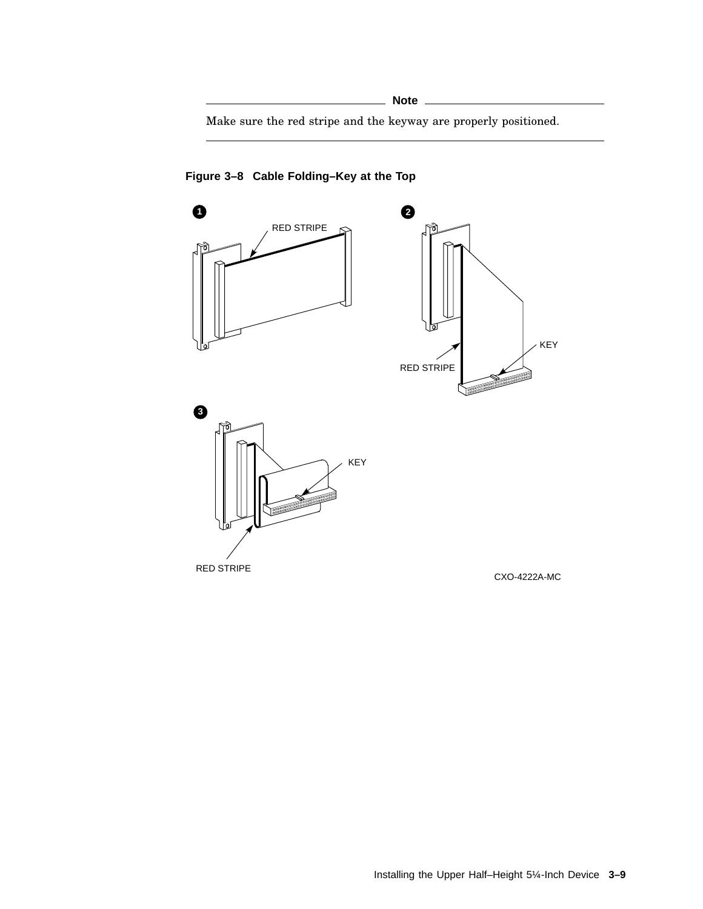Make sure the red stripe and the keyway are properly positioned.



**Figure 3–8 Cable Folding–Key at the Top**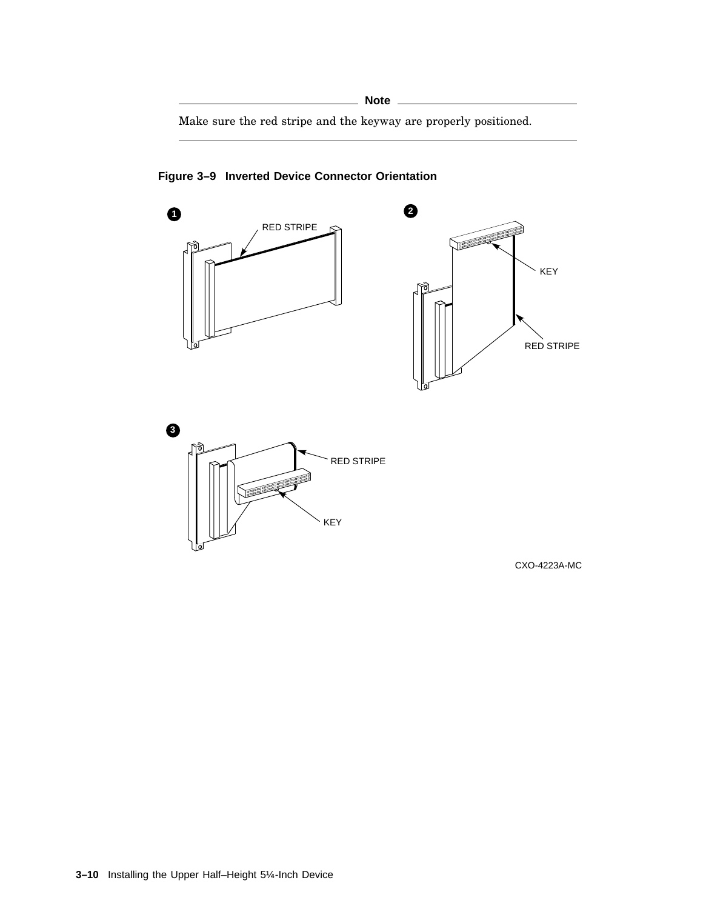Make sure the red stripe and the keyway are properly positioned.



**Figure 3–9 Inverted Device Connector Orientation**

CXO-4223A-MC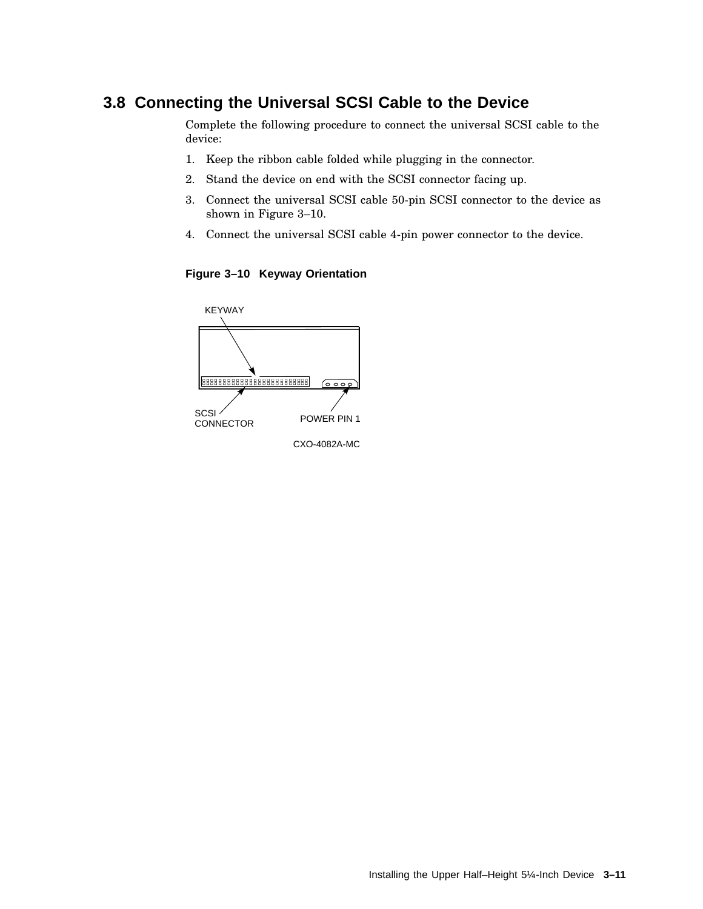### **3.8 Connecting the Universal SCSI Cable to the Device**

Complete the following procedure to connect the universal SCSI cable to the device:

- 1. Keep the ribbon cable folded while plugging in the connector.
- 2. Stand the device on end with the SCSI connector facing up.
- 3. Connect the universal SCSI cable 50-pin SCSI connector to the device as shown in Figure 3–10.
- 4. Connect the universal SCSI cable 4-pin power connector to the device.

**Figure 3–10 Keyway Orientation**



CXO-4082A-MC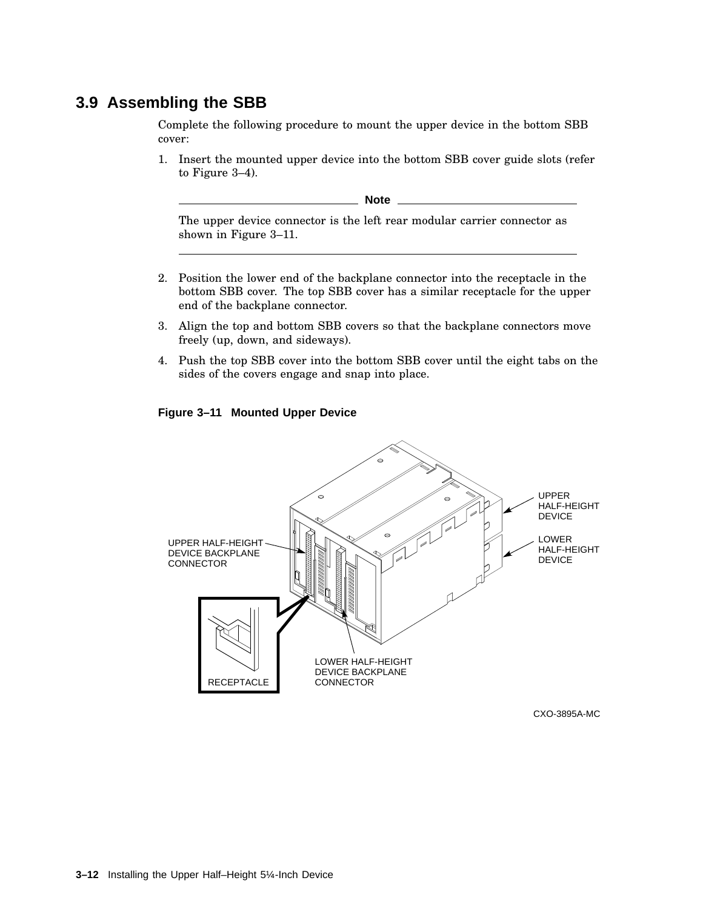#### **3.9 Assembling the SBB**

Complete the following procedure to mount the upper device in the bottom SBB cover:

1. Insert the mounted upper device into the bottom SBB cover guide slots (refer to Figure 3–4).

**Note**

The upper device connector is the left rear modular carrier connector as shown in Figure 3–11.

- 2. Position the lower end of the backplane connector into the receptacle in the bottom SBB cover. The top SBB cover has a similar receptacle for the upper end of the backplane connector.
- 3. Align the top and bottom SBB covers so that the backplane connectors move freely (up, down, and sideways).
- 4. Push the top SBB cover into the bottom SBB cover until the eight tabs on the sides of the covers engage and snap into place.

#### **Figure 3–11 Mounted Upper Device**



CXO-3895A-MC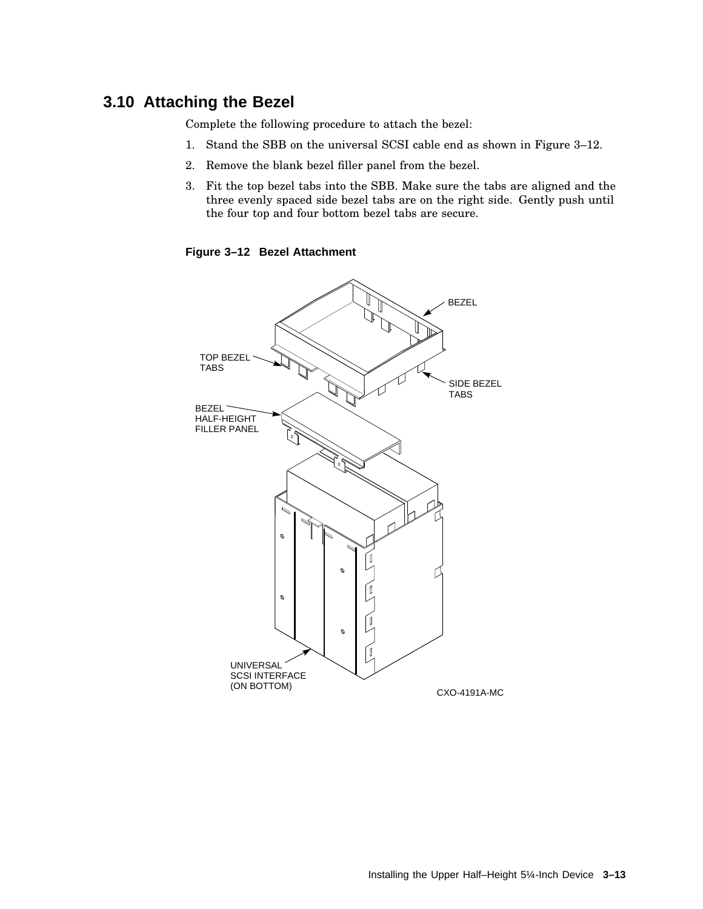#### **3.10 Attaching the Bezel**

Complete the following procedure to attach the bezel:

- 1. Stand the SBB on the universal SCSI cable end as shown in Figure 3–12.
- 2. Remove the blank bezel filler panel from the bezel.
- 3. Fit the top bezel tabs into the SBB. Make sure the tabs are aligned and the three evenly spaced side bezel tabs are on the right side. Gently push until the four top and four bottom bezel tabs are secure.

**Figure 3–12 Bezel Attachment**

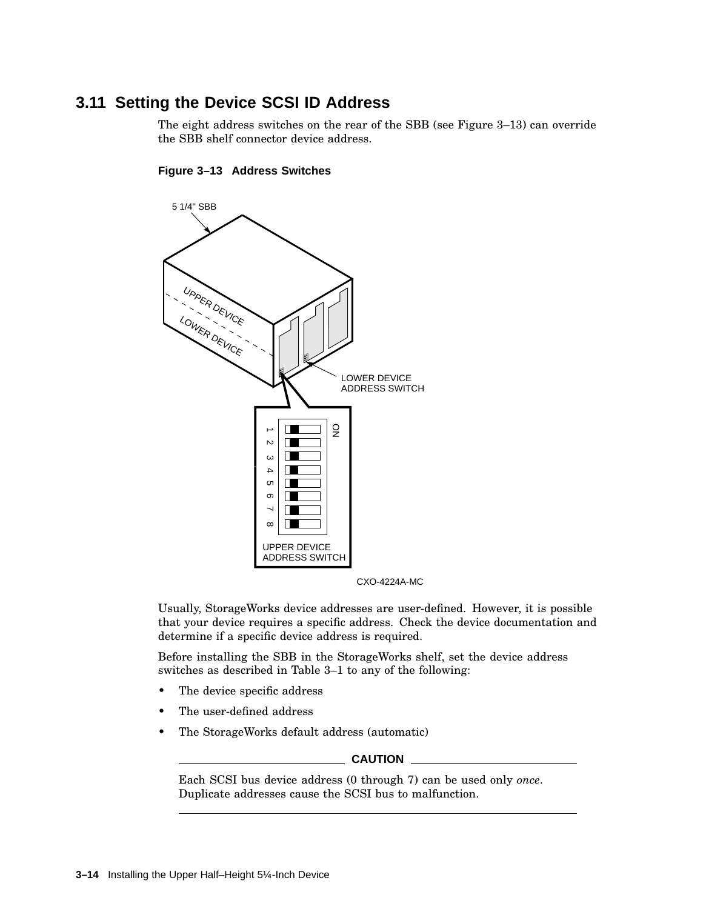## **3.11 Setting the Device SCSI ID Address**

The eight address switches on the rear of the SBB (see Figure 3–13) can override the SBB shelf connector device address.





CXO-4224A-MC

Usually, StorageWorks device addresses are user-defined. However, it is possible that your device requires a specific address. Check the device documentation and determine if a specific device address is required.

Before installing the SBB in the StorageWorks shelf, set the device address switches as described in Table 3–1 to any of the following:

- The device specific address
- The user-defined address
- The StorageWorks default address (automatic)

#### **CAUTION**

Each SCSI bus device address (0 through 7) can be used only *once*. Duplicate addresses cause the SCSI bus to malfunction.